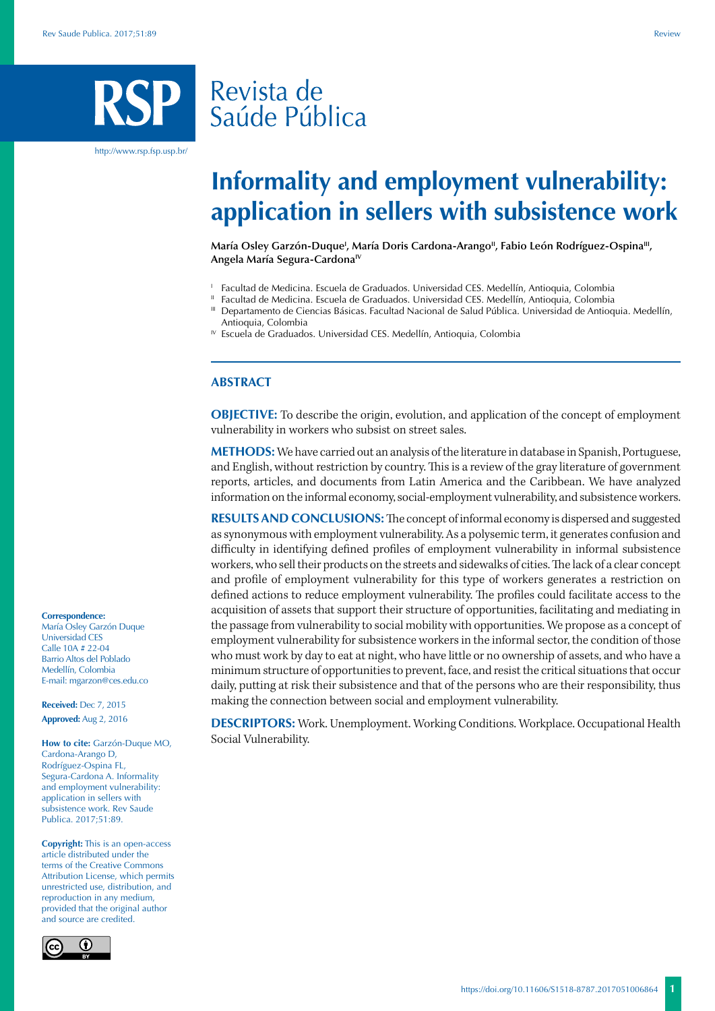# Revista de Saúde Pública

http://www.rsp.fsp.usp.br/

# **Informality and employment vulnerability: application in sellers with subsistence work**

María Osley Garzón-Duque<sup>i</sup>, María Doris Cardona-Arango'', Fabio León Rodríguez-Ospina''', **Angela María Segura-CardonaIV**

- <sup>1</sup> Facultad de Medicina. Escuela de Graduados. Universidad CES. Medellín, Antioquia, Colombia
- Facultad de Medicina. Escuela de Graduados. Universidad CES. Medellín, Antioquia, Colombia
- III Departamento de Ciencias Básicas. Facultad Nacional de Salud Pública. Universidad de Antioquia. Medellín, Antioquia, Colombia
- IV Escuela de Graduados. Universidad CES. Medellín, Antioquia, Colombia

## **ABSTRACT**

**OBJECTIVE:** To describe the origin, evolution, and application of the concept of employment vulnerability in workers who subsist on street sales.

**METHODS:** We have carried out an analysis of the literature in database in Spanish, Portuguese, and English, without restriction by country. This is a review of the gray literature of government reports, articles, and documents from Latin America and the Caribbean. We have analyzed information on the informal economy, social-employment vulnerability, and subsistence workers.

**RESULTS AND CONCLUSIONS:** The concept of informal economy is dispersed and suggested as synonymous with employment vulnerability. As a polysemic term, it generates confusion and difficulty in identifying defined profiles of employment vulnerability in informal subsistence workers, who sell their products on the streets and sidewalks of cities. The lack of a clear concept and profile of employment vulnerability for this type of workers generates a restriction on defined actions to reduce employment vulnerability. The profiles could facilitate access to the acquisition of assets that support their structure of opportunities, facilitating and mediating in the passage from vulnerability to social mobility with opportunities. We propose as a concept of employment vulnerability for subsistence workers in the informal sector, the condition of those who must work by day to eat at night, who have little or no ownership of assets, and who have a minimum structure of opportunities to prevent, face, and resist the critical situations that occur daily, putting at risk their subsistence and that of the persons who are their responsibility, thus making the connection between social and employment vulnerability.

**DESCRIPTORS:** Work. Unemployment. Working Conditions. Workplace. Occupational Health Social Vulnerability.

#### **Correspondence:**

María Osley Garzón Duque Universidad CES Calle 10A # 22-04 Barrio Altos del Poblado Medellín, Colombia E-mail: mgarzon@ces.edu.co

**Received:** Dec 7, 2015 **Approved:** Aug 2, 2016

**How to cite:** Garzón-Duque MO, Cardona-Arango D, Rodríguez-Ospina FL, Segura-Cardona A. Informality and employment vulnerability: application in sellers with subsistence work. Rev Saude Publica. 2017;51:89.

**Copyright:** This is an open-access article distributed under the terms of the Creative Commons Attribution License, which permits unrestricted use, distribution, and reproduction in any medium, provided that the original author and source are credited.

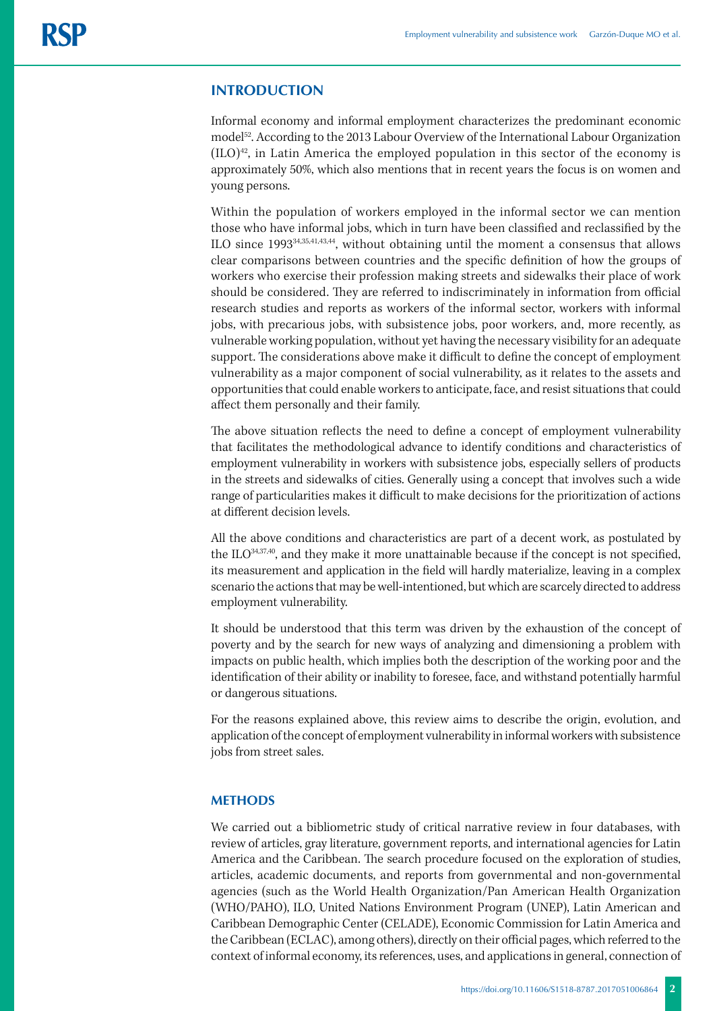# **INTRODUCTION**

Informal economy and informal employment characterizes the predominant economic model<sup>52</sup>. According to the 2013 Labour Overview of the International Labour Organization  $(IIO)<sup>42</sup>$ , in Latin America the employed population in this sector of the economy is approximately 50%, which also mentions that in recent years the focus is on women and young persons.

Within the population of workers employed in the informal sector we can mention those who have informal jobs, which in turn have been classified and reclassified by the ILO since 199334,35,41,43,44, without obtaining until the moment a consensus that allows clear comparisons between countries and the specific definition of how the groups of workers who exercise their profession making streets and sidewalks their place of work should be considered. They are referred to indiscriminately in information from official research studies and reports as workers of the informal sector, workers with informal jobs, with precarious jobs, with subsistence jobs, poor workers, and, more recently, as vulnerable working population, without yet having the necessary visibility for an adequate support. The considerations above make it difficult to define the concept of employment vulnerability as a major component of social vulnerability, as it relates to the assets and opportunities that could enable workers to anticipate, face, and resist situations that could affect them personally and their family.

The above situation reflects the need to define a concept of employment vulnerability that facilitates the methodological advance to identify conditions and characteristics of employment vulnerability in workers with subsistence jobs, especially sellers of products in the streets and sidewalks of cities. Generally using a concept that involves such a wide range of particularities makes it difficult to make decisions for the prioritization of actions at different decision levels.

All the above conditions and characteristics are part of a decent work, as postulated by the ILO<sup>34,37,40</sup>, and they make it more unattainable because if the concept is not specified, its measurement and application in the field will hardly materialize, leaving in a complex scenario the actions that may be well-intentioned, but which are scarcely directed to address employment vulnerability.

It should be understood that this term was driven by the exhaustion of the concept of poverty and by the search for new ways of analyzing and dimensioning a problem with impacts on public health, which implies both the description of the working poor and the identification of their ability or inability to foresee, face, and withstand potentially harmful or dangerous situations.

For the reasons explained above, this review aims to describe the origin, evolution, and application of the concept of employment vulnerability in informal workers with subsistence jobs from street sales.

# **METHODS**

We carried out a bibliometric study of critical narrative review in four databases, with review of articles, gray literature, government reports, and international agencies for Latin America and the Caribbean. The search procedure focused on the exploration of studies, articles, academic documents, and reports from governmental and non-governmental agencies (such as the World Health Organization/Pan American Health Organization (WHO/PAHO), ILO, United Nations Environment Program (UNEP), Latin American and Caribbean Demographic Center (CELADE), Economic Commission for Latin America and the Caribbean (ECLAC), among others), directly on their official pages, which referred to the context of informal economy, its references, uses, and applications in general, connection of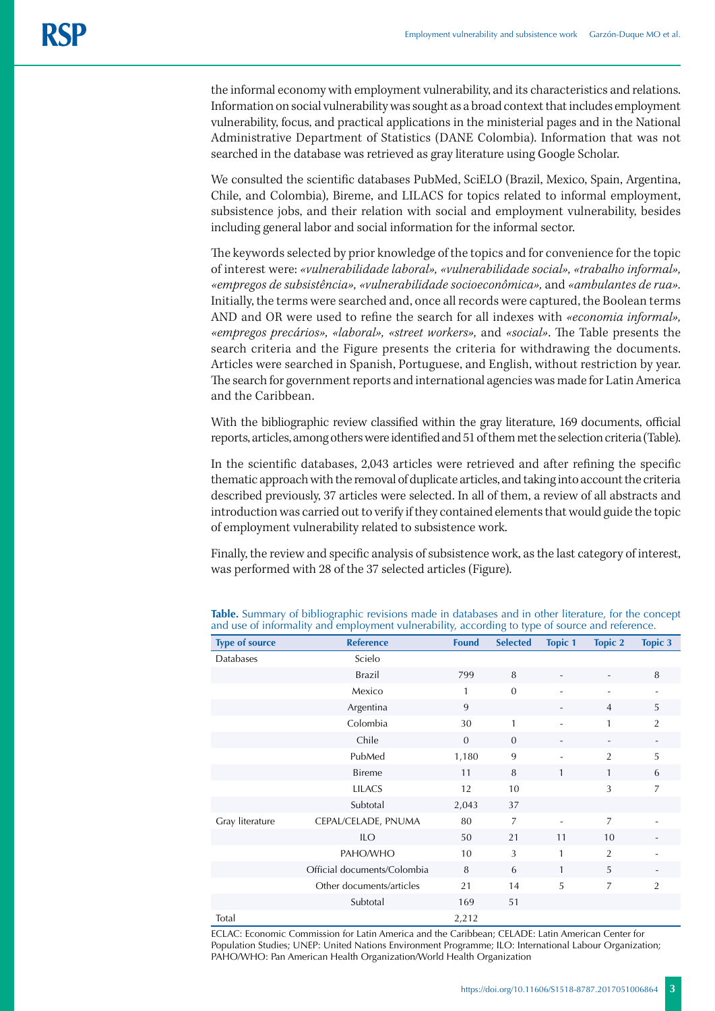the informal economy with employment vulnerability, and its characteristics and relations. Information on social vulnerability was sought as a broad context that includes employment vulnerability, focus, and practical applications in the ministerial pages and in the National Administrative Department of Statistics (DANE Colombia). Information that was not searched in the database was retrieved as gray literature using Google Scholar.

We consulted the scientific databases PubMed, SciELO (Brazil, Mexico, Spain, Argentina, Chile, and Colombia), Bireme, and LILACS for topics related to informal employment, subsistence jobs, and their relation with social and employment vulnerability, besides including general labor and social information for the informal sector.

The keywords selected by prior knowledge of the topics and for convenience for the topic of interest were: *«vulnerabilidade laboral», «vulnerabilidade social», «trabalho informal», «empregos de subsistência», «vulnerabilidade socioeconômica»,* and *«ambulantes de rua».* Initially, the terms were searched and, once all records were captured, the Boolean terms AND and OR were used to refine the search for all indexes with *«economia informal», «empregos precários», «laboral», «street workers»,* and *«social»*. The Table presents the search criteria and the Figure presents the criteria for withdrawing the documents. Articles were searched in Spanish, Portuguese, and English, without restriction by year. The search for government reports and international agencies was made for Latin America and the Caribbean.

With the bibliographic review classified within the gray literature, 169 documents, official reports, articles, among others were identified and 51 of them met the selection criteria (Table).

In the scientific databases, 2,043 articles were retrieved and after refining the specific thematic approach with the removal of duplicate articles, and taking into account the criteria described previously, 37 articles were selected. In all of them, a review of all abstracts and introduction was carried out to verify if they contained elements that would guide the topic of employment vulnerability related to subsistence work.

Finally, the review and specific analysis of subsistence work, as the last category of interest, was performed with 28 of the 37 selected articles (Figure).

| <b>Type of source</b> | <b>Reference</b>            | <b>Found</b> | <b>Selected</b> | <b>Topic 1</b> | <b>Topic 2</b> | <b>Topic 3</b> |
|-----------------------|-----------------------------|--------------|-----------------|----------------|----------------|----------------|
| Databases             | Scielo                      |              |                 |                |                |                |
|                       | Brazil                      | 799          | 8               |                |                | 8              |
|                       | Mexico                      | 1            | $\mathbf{0}$    |                | $\overline{a}$ |                |
|                       | Argentina                   | 9            |                 |                | $\overline{4}$ | 5              |
|                       | Colombia                    | 30           | 1               |                | $\mathbf{1}$   | $\overline{2}$ |
|                       | Chile                       | $\mathbf{0}$ | $\mathbf{0}$    |                |                |                |
|                       | PubMed                      | 1,180        | 9               |                | 2              | 5              |
|                       | <b>Bireme</b>               | 11           | 8               | $\mathbf{1}$   | $\mathbf{1}$   | 6              |
|                       | <b>LILACS</b>               | 12           | 10              |                | 3              | 7              |
|                       | Subtotal                    | 2,043        | 37              |                |                |                |
| Gray literature       | CEPAL/CELADE, PNUMA         | 80           | $\overline{7}$  | ٠              | $\overline{7}$ |                |
|                       | <b>ILO</b>                  | 50           | 21              | 11             | 10             |                |
|                       | PAHO/WHO                    | 10           | 3               | $\mathbf{1}$   | $\overline{2}$ |                |
|                       | Official documents/Colombia | 8            | 6               | $\mathbf{1}$   | 5              |                |
|                       | Other documents/articles    | 21           | 14              | 5              | 7              | $\overline{2}$ |
|                       | Subtotal                    | 169          | 51              |                |                |                |
| Total                 |                             | 2,212        |                 |                |                |                |

**Table.** Summary of bibliographic revisions made in databases and in other literature, for the concept and use of informality and employment vulnerability, according to type of source and reference.

ECLAC: Economic Commission for Latin America and the Caribbean; CELADE: Latin American Center for Population Studies; UNEP: United Nations Environment Programme; ILO: International Labour Organization; PAHO/WHO: Pan American Health Organization/World Health Organization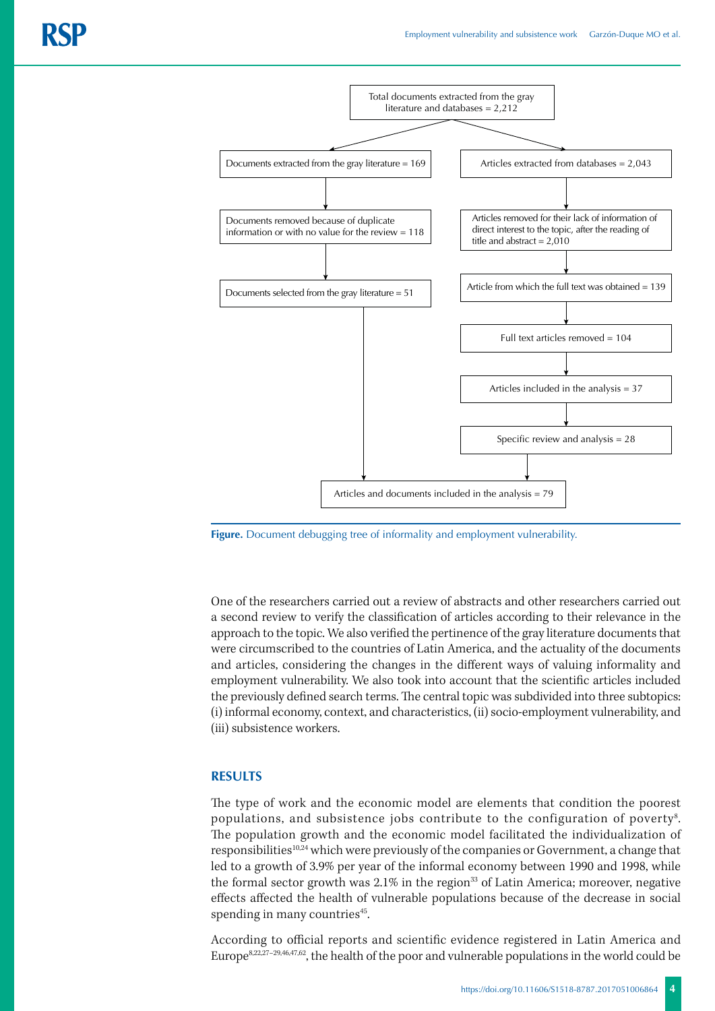

**Figure.** Document debugging tree of informality and employment vulnerability.

One of the researchers carried out a review of abstracts and other researchers carried out a second review to verify the classification of articles according to their relevance in the approach to the topic. We also verified the pertinence of the gray literature documents that were circumscribed to the countries of Latin America, and the actuality of the documents and articles, considering the changes in the different ways of valuing informality and employment vulnerability. We also took into account that the scientific articles included the previously defined search terms. The central topic was subdivided into three subtopics: (i) informal economy, context, and characteristics, (ii) socio-employment vulnerability, and (iii) subsistence workers.

### **RESULTS**

The type of work and the economic model are elements that condition the poorest populations, and subsistence jobs contribute to the configuration of poverty $^{\mathrm{s}}.$ The population growth and the economic model facilitated the individualization of responsibilities<sup>10,24</sup> which were previously of the companies or Government, a change that led to a growth of 3.9% per year of the informal economy between 1990 and 1998, while the formal sector growth was  $2.1\%$  in the region<sup>33</sup> of Latin America; moreover, negative effects affected the health of vulnerable populations because of the decrease in social spending in many countries<sup>45</sup>.

According to official reports and scientific evidence registered in Latin America and Europe8,22,27–29,46,47,62, the health of the poor and vulnerable populations in the world could be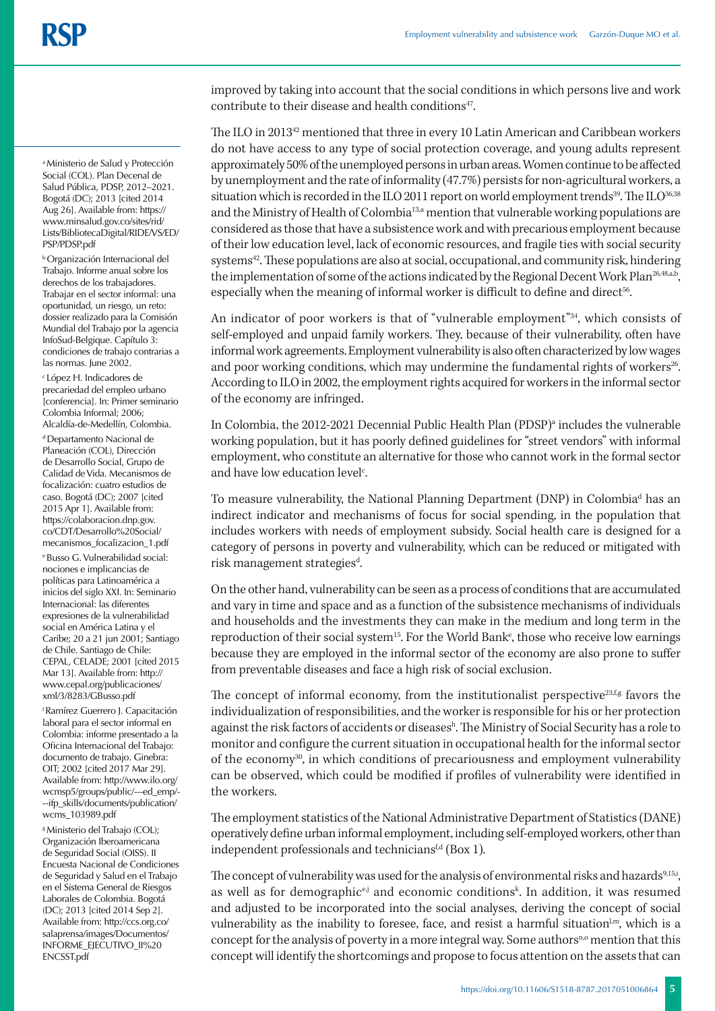a Ministerio de Salud y Protección Social (COL). Plan Decenal de Salud Pública, PDSP, 2012–2021. Bogotá (DC); 2013 [cited 2014 Aug 26]. Available from: https:// www.minsalud.gov.co/sites/rid/ Lists/BibliotecaDigital/RIDE/VS/ED/ PSP/PDSP.pdf

b Organización Internacional del Trabajo. Informe anual sobre los derechos de los trabajadores. Trabajar en el sector informal: una oportunidad, un riesgo, un reto: dossier realizado para la Comisión Mundial del Trabajo por la agencia InfoSud-Belgique. Capítulo 3: condiciones de trabajo contrarias a las normas. June 2002.

c López H. Indicadores de precariedad del empleo urbano [conferencia]. In: Primer seminario Colombia Informal; 2006; Alcaldía-de-Medellín, Colombia.

d Departamento Nacional de Planeación (COL), Dirección de Desarrollo Social, Grupo de Calidad de Vida. Mecanismos de focalización: cuatro estudios de caso. Bogotá (DC); 2007 [cited 2015 Apr 1]. Available from: https://colaboracion.dnp.gov. co/CDT/Desarrollo%20Social/ mecanismos\_focalizacion\_1.pdf e Busso G. Vulnerabilidad social: nociones e implicancias de políticas para Latinoamérica a inicios del siglo XXI. In: Seminario Internacional: las diferentes expresiones de la vulnerabilidad social en América Latina y el Caribe; 20 a 21 jun 2001; Santiago de Chile. Santiago de Chile: CEPAL, CELADE; 2001 [cited 2015 Mar 13]. Available from: http:// www.cepal.org/publicaciones/ xml/3/8283/GBusso.pdf

f Ramírez Guerrero J. Capacitación laboral para el sector informal en Colombia: informe presentado a la Oficina Internacional del Trabajo: documento de trabajo. Ginebra: OIT; 2002 [cited 2017 Mar 29]. Available from: http://www.ilo.org/ wcmsp5/groups/public/---ed\_emp/- --ifp\_skills/documents/publication/ wcms\_103989.pdf

g Ministerio del Trabajo (COL); Organización Iberoamericana de Seguridad Social (OISS). II Encuesta Nacional de Condiciones de Seguridad y Salud en el Trabajo en el Sistema General de Riesgos Laborales de Colombia. Bogotá (DC); 2013 [cited 2014 Sep 2]. Available from: http://ccs.org.co/ salaprensa/images/Documentos/ INFORME\_EJECUTIVO\_II%20 ENCSST.pdf

improved by taking into account that the social conditions in which persons live and work contribute to their disease and health conditions<sup>47</sup>.

The ILO in 201342 mentioned that three in every 10 Latin American and Caribbean workers do not have access to any type of social protection coverage, and young adults represent approximately 50% of the unemployed persons in urban areas. Women continue to be affected by unemployment and the rate of informality (47.7%) persists for non-agricultural workers, a situation which is recorded in the ILO 2011 report on world employment trends<sup>39</sup>. The ILO $^{36,38}$ and the Ministry of Health of Colombia<sup>13,a</sup> mention that vulnerable working populations are considered as those that have a subsistence work and with precarious employment because of their low education level, lack of economic resources, and fragile ties with social security systems<sup>42</sup>. These populations are also at social, occupational, and community risk, hindering the implementation of some of the actions indicated by the Regional Decent Work Plan<sup>26,48,a,b</sup>, especially when the meaning of informal worker is difficult to define and direct<sup>56</sup>.

An indicator of poor workers is that of "vulnerable employment"<sup>34</sup>, which consists of self-employed and unpaid family workers. They, because of their vulnerability, often have informal work agreements. Employment vulnerability is also often characterized by low wages and poor working conditions, which may undermine the fundamental rights of workers<sup>26</sup>. According to ILO in 2002, the employment rights acquired for workers in the informal sector of the economy are infringed.

In Colombia, the 2012-2021 Decennial Public Health Plan (PDSP)ª includes the vulnerable working population, but it has poorly defined guidelines for "street vendors" with informal employment, who constitute an alternative for those who cannot work in the formal sector and have low education level<sup>c</sup>.

To measure vulnerability, the National Planning Department (DNP) in Colombia<sup>d</sup> has an indirect indicator and mechanisms of focus for social spending, in the population that includes workers with needs of employment subsidy. Social health care is designed for a category of persons in poverty and vulnerability, which can be reduced or mitigated with risk management strategies<sup>d</sup>.

On the other hand, vulnerability can be seen as a process of conditions that are accumulated and vary in time and space and as a function of the subsistence mechanisms of individuals and households and the investments they can make in the medium and long term in the reproduction of their social system<sup>15</sup>. For the World Bank<sup>e</sup>, those who receive low earnings because they are employed in the informal sector of the economy are also prone to suffer from preventable diseases and face a high risk of social exclusion.

The concept of informal economy, from the institutionalist perspective<sup>23,fg</sup> favors the individualization of responsibilities, and the worker is responsible for his or her protection against the risk factors of accidents or diseases<sup>h</sup>. The Ministry of Social Security has a role to monitor and configure the current situation in occupational health for the informal sector of the economy $30$ , in which conditions of precariousness and employment vulnerability can be observed, which could be modified if profiles of vulnerability were identified in the workers.

The employment statistics of the National Administrative Department of Statistics (DANE) operatively define urban informal employment, including self-employed workers, other than independent professionals and technicians<sup> $f,d$ </sup> (Box 1).

The concept of vulnerability was used for the analysis of environmental risks and hazards<sup>9,15,i</sup>, as well as for demographic<sup>e,j</sup> and economic conditions<sup>k</sup>. In addition, it was resumed and adjusted to be incorporated into the social analyses, deriving the concept of social vulnerability as the inability to foresee, face, and resist a harmful situation<sup>1,m</sup>, which is a concept for the analysis of poverty in a more integral way. Some authors<sup>n,o</sup> mention that this concept will identify the shortcomings and propose to focus attention on the assets that can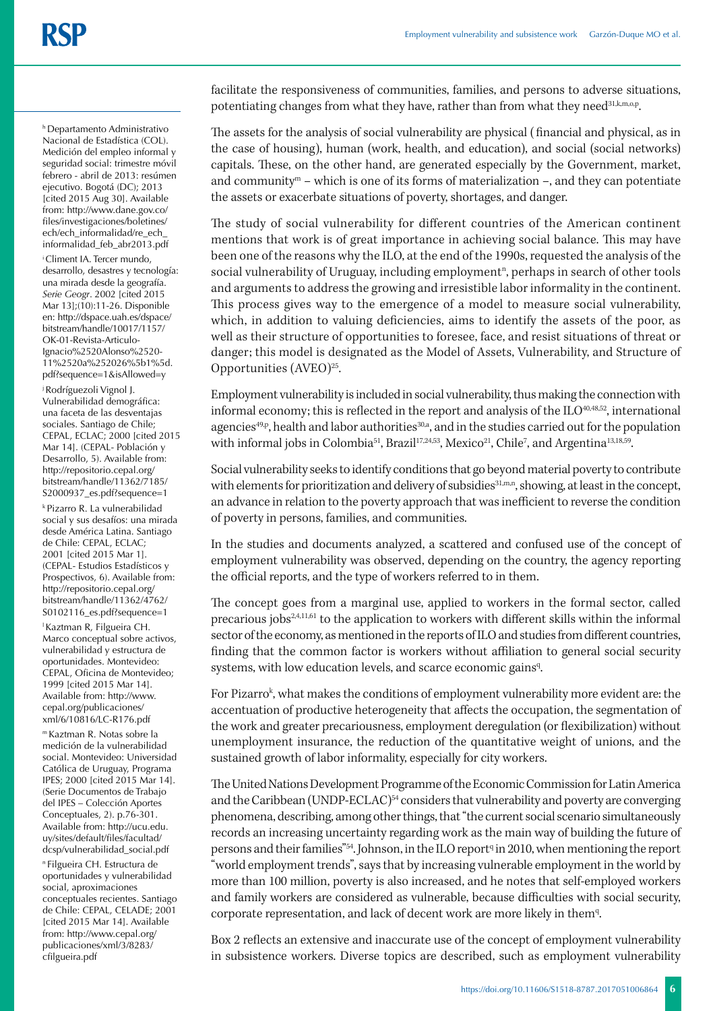h Departamento Administrativo Nacional de Estadística (COL). Medición del empleo informal y seguridad social: trimestre móvil febrero - abril de 2013: resúmen ejecutivo. Bogotá (DC); 2013 [cited 2015 Aug 30]. Available from: http://www.dane.gov.co/ files/investigaciones/boletines/ ech/ech\_informalidad/re\_ech\_ informalidad\_feb\_abr2013.pdf

i Climent IA. Tercer mundo, desarrollo, desastres y tecnología: una mirada desde la geografía. *Serie Geogr*. 2002 [cited 2015 Mar 13];(10):11-26. Disponible en: http://dspace.uah.es/dspace/ bitstream/handle/10017/1157/ OK-01-Revista-Articulo-Ignacio%2520Alonso%2520- 11%2520a%252026%5b1%5d. pdf?sequence=1&isAllowed=y

j Rodríguezoli Vignol J. Vulnerabilidad demográfica: una faceta de las desventajas sociales. Santiago de Chile; CEPAL, ECLAC; 2000 [cited 2015 Mar 14]. (CEPAL- Población y Desarrollo, 5). Available from: http://repositorio.cepal.org/ bitstream/handle/11362/7185/ S2000937\_es.pdf?sequence=1 k Pizarro R. La vulnerabilidad social y sus desafíos: una mirada desde América Latina. Santiago de Chile: CEPAL, ECLAC; 2001 [cited 2015 Mar 1]. (CEPAL- Estudios Estadísticos y Prospectivos, 6). Available from: http://repositorio.cepal.org/ bitstream/handle/11362/4762/ S0102116\_es.pdf?sequence=1 l Kaztman R, Filgueira CH. Marco conceptual sobre activos, vulnerabilidad y estructura de oportunidades. Montevideo: CEPAL, Oficina de Montevideo;

1999 [cited 2015 Mar 14]. Available from: http://www. cepal.org/publicaciones/ xml/6/10816/LC-R176.pdf

m Kaztman R. Notas sobre la medición de la vulnerabilidad social. Montevideo: Universidad Católica de Uruguay, Programa IPES; 2000 [cited 2015 Mar 14]. (Serie Documentos de Trabajo del IPES – Colección Aportes Conceptuales, 2). p.76-301. Available from: http://ucu.edu. uy/sites/default/files/facultad/ dcsp/vulnerabilidad\_social.pdf

n Filgueira CH. Estructura de oportunidades y vulnerabilidad social, aproximaciones conceptuales recientes. Santiago de Chile: CEPAL, CELADE; 2001 [cited 2015 Mar 14]. Available from: http://www.cepal.org/ publicaciones/xml/3/8283/ cfilgueira.pdf

facilitate the responsiveness of communities, families, and persons to adverse situations, potentiating changes from what they have, rather than from what they need<sup>31,k,m,o,p</sup>.

The assets for the analysis of social vulnerability are physical ( financial and physical, as in the case of housing), human (work, health, and education), and social (social networks) capitals. These, on the other hand, are generated especially by the Government, market, and community<sup>m</sup> – which is one of its forms of materialization –, and they can potentiate the assets or exacerbate situations of poverty, shortages, and danger.

The study of social vulnerability for different countries of the American continent mentions that work is of great importance in achieving social balance. This may have been one of the reasons why the ILO, at the end of the 1990s, requested the analysis of the social vulnerability of Uruguay, including employment<sup>n</sup>, perhaps in search of other tools and arguments to address the growing and irresistible labor informality in the continent. This process gives way to the emergence of a model to measure social vulnerability, which, in addition to valuing deficiencies, aims to identify the assets of the poor, as well as their structure of opportunities to foresee, face, and resist situations of threat or danger; this model is designated as the Model of Assets, Vulnerability, and Structure of Opportunities  $(AVEO)<sup>25</sup>$ .

Employment vulnerability is included in social vulnerability, thus making the connection with informal economy; this is reflected in the report and analysis of the  $ILO^{40,48,52}$ , international agencies<sup>49,p</sup>, health and labor authorities<sup>30,a</sup>, and in the studies carried out for the population with informal jobs in Colombia<sup>51</sup>, Brazil<sup>17,24,53</sup>, Mexico<sup>21</sup>, Chile<sup>7</sup>, and Argentina<sup>13,18,59</sup>.

Social vulnerability seeks to identify conditions that go beyond material poverty to contribute with elements for prioritization and delivery of subsidies<sup>31,m,n</sup>, showing, at least in the concept, an advance in relation to the poverty approach that was inefficient to reverse the condition of poverty in persons, families, and communities.

In the studies and documents analyzed, a scattered and confused use of the concept of employment vulnerability was observed, depending on the country, the agency reporting the official reports, and the type of workers referred to in them.

The concept goes from a marginal use, applied to workers in the formal sector, called precarious jobs<sup>2,4,11,61</sup> to the application to workers with different skills within the informal sector of the economy, as mentioned in the reports of ILO and studies from different countries, finding that the common factor is workers without affiliation to general social security systems, with low education levels, and scarce economic gains<sup>q</sup>.

For Pizarro<sup>k</sup>, what makes the conditions of employment vulnerability more evident are: the accentuation of productive heterogeneity that affects the occupation, the segmentation of the work and greater precariousness, employment deregulation (or flexibilization) without unemployment insurance, the reduction of the quantitative weight of unions, and the sustained growth of labor informality, especially for city workers.

The United Nations Development Programme of the Economic Commission for Latin America and the Caribbean (UNDP-ECLAC) $54$  considers that vulnerability and poverty are converging phenomena, describing, among other things, that "the current social scenario simultaneously records an increasing uncertainty regarding work as the main way of building the future of persons and their families"<sup>54</sup>. Johnson, in the ILO report<sup>q</sup> in 2010, when mentioning the report "world employment trends", says that by increasing vulnerable employment in the world by more than 100 million, poverty is also increased, and he notes that self-employed workers and family workers are considered as vulnerable, because difficulties with social security, corporate representation, and lack of decent work are more likely in them<sup>q</sup>.

Box 2 reflects an extensive and inaccurate use of the concept of employment vulnerability in subsistence workers. Diverse topics are described, such as employment vulnerability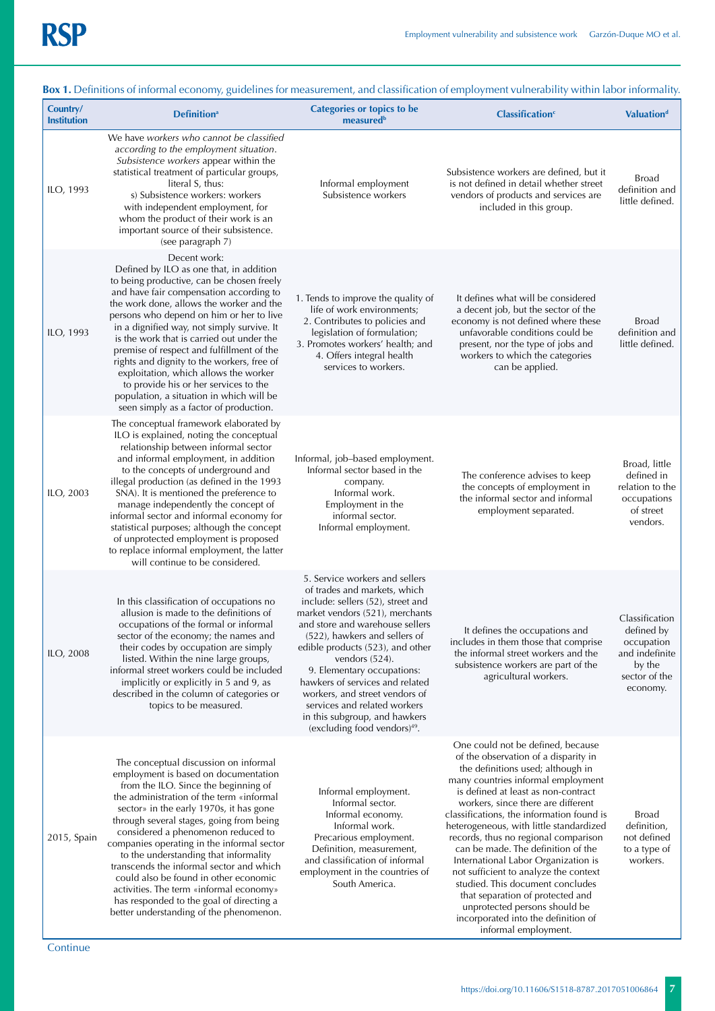| Country/<br><b>Institution</b> | <b>box 1.</b> Deminions of informal economy, galactines for incasarement, and elassification of employment valuerasmity within labor mormanty<br><b>Definition</b> <sup>a</sup>                                                                                                                                                                                                                                                                                                                                                                                                                              | <b>Categories or topics to be</b><br>measured <sup>b</sup>                                                                                                                                                                                                                                                                                                                                                                                                                          | <b>Classification</b> <sup>c</sup>                                                                                                                                                                                                                                                                                                                                                                                                                                                                                                                                                                                                                              | <b>Valuationd</b>                                                                                   |
|--------------------------------|--------------------------------------------------------------------------------------------------------------------------------------------------------------------------------------------------------------------------------------------------------------------------------------------------------------------------------------------------------------------------------------------------------------------------------------------------------------------------------------------------------------------------------------------------------------------------------------------------------------|-------------------------------------------------------------------------------------------------------------------------------------------------------------------------------------------------------------------------------------------------------------------------------------------------------------------------------------------------------------------------------------------------------------------------------------------------------------------------------------|-----------------------------------------------------------------------------------------------------------------------------------------------------------------------------------------------------------------------------------------------------------------------------------------------------------------------------------------------------------------------------------------------------------------------------------------------------------------------------------------------------------------------------------------------------------------------------------------------------------------------------------------------------------------|-----------------------------------------------------------------------------------------------------|
| ILO, 1993                      | We have workers who cannot be classified<br>according to the employment situation.<br>Subsistence workers appear within the<br>statistical treatment of particular groups,<br>literal S, thus:<br>s) Subsistence workers: workers<br>with independent employment, for<br>whom the product of their work is an<br>important source of their subsistence.<br>(see paragraph 7)                                                                                                                                                                                                                                 | Informal employment<br>Subsistence workers                                                                                                                                                                                                                                                                                                                                                                                                                                          | Subsistence workers are defined, but it<br>is not defined in detail whether street<br>vendors of products and services are<br>included in this group.                                                                                                                                                                                                                                                                                                                                                                                                                                                                                                           | <b>Broad</b><br>definition and<br>little defined.                                                   |
| ILO, 1993                      | Decent work:<br>Defined by ILO as one that, in addition<br>to being productive, can be chosen freely<br>and have fair compensation according to<br>the work done, allows the worker and the<br>persons who depend on him or her to live<br>in a dignified way, not simply survive. It<br>is the work that is carried out under the<br>premise of respect and fulfillment of the<br>rights and dignity to the workers, free of<br>exploitation, which allows the worker<br>to provide his or her services to the<br>population, a situation in which will be<br>seen simply as a factor of production.        | 1. Tends to improve the quality of<br>life of work environments;<br>2. Contributes to policies and<br>legislation of formulation;<br>3. Promotes workers' health; and<br>4. Offers integral health<br>services to workers.                                                                                                                                                                                                                                                          | It defines what will be considered<br>a decent job, but the sector of the<br>economy is not defined where these<br>unfavorable conditions could be<br>present, nor the type of jobs and<br>workers to which the categories<br>can be applied.                                                                                                                                                                                                                                                                                                                                                                                                                   | <b>Broad</b><br>definition and<br>little defined.                                                   |
| ILO, 2003                      | The conceptual framework elaborated by<br>ILO is explained, noting the conceptual<br>relationship between informal sector<br>and informal employment, in addition<br>to the concepts of underground and<br>illegal production (as defined in the 1993<br>SNA). It is mentioned the preference to<br>manage independently the concept of<br>informal sector and informal economy for<br>statistical purposes; although the concept<br>of unprotected employment is proposed<br>to replace informal employment, the latter<br>will continue to be considered.                                                  | Informal, job-based employment.<br>Informal sector based in the<br>company.<br>Informal work.<br>Employment in the<br>informal sector.<br>Informal employment.                                                                                                                                                                                                                                                                                                                      | The conference advises to keep<br>the concepts of employment in<br>the informal sector and informal<br>employment separated.                                                                                                                                                                                                                                                                                                                                                                                                                                                                                                                                    | Broad, little<br>defined in<br>relation to the<br>occupations<br>of street<br>vendors.              |
| ILO, 2008                      | In this classification of occupations no<br>allusion is made to the definitions of<br>occupations of the formal or informal<br>sector of the economy; the names and<br>their codes by occupation are simply<br>listed. Within the nine large groups,<br>informal street workers could be included<br>implicitly or explicitly in 5 and 9, as<br>described in the column of categories or<br>topics to be measured.                                                                                                                                                                                           | 5. Service workers and sellers<br>of trades and markets, which<br>include: sellers (52), street and<br>market vendors (521), merchants<br>and store and warehouse sellers<br>(522), hawkers and sellers of<br>edible products (523), and other<br>vendors $(524)$ .<br>9. Elementary occupations:<br>hawkers of services and related<br>workers, and street vendors of<br>services and related workers<br>in this subgroup, and hawkers<br>(excluding food vendors) <sup>49</sup> . | It defines the occupations and<br>includes in them those that comprise<br>the informal street workers and the<br>subsistence workers are part of the<br>agricultural workers.                                                                                                                                                                                                                                                                                                                                                                                                                                                                                   | Classification<br>defined by<br>occupation<br>and indefinite<br>by the<br>sector of the<br>economy. |
| 2015, Spain                    | The conceptual discussion on informal<br>employment is based on documentation<br>from the ILO. Since the beginning of<br>the administration of the term «informal<br>sector» in the early 1970s, it has gone<br>through several stages, going from being<br>considered a phenomenon reduced to<br>companies operating in the informal sector<br>to the understanding that informality<br>transcends the informal sector and which<br>could also be found in other economic<br>activities. The term «informal economy»<br>has responded to the goal of directing a<br>better understanding of the phenomenon. | Informal employment.<br>Informal sector.<br>Informal economy.<br>Informal work.<br>Precarious employment.<br>Definition, measurement,<br>and classification of informal<br>employment in the countries of<br>South America.                                                                                                                                                                                                                                                         | One could not be defined, because<br>of the observation of a disparity in<br>the definitions used; although in<br>many countries informal employment<br>is defined at least as non-contract<br>workers, since there are different<br>classifications, the information found is<br>heterogeneous, with little standardized<br>records, thus no regional comparison<br>can be made. The definition of the<br>International Labor Organization is<br>not sufficient to analyze the context<br>studied. This document concludes<br>that separation of protected and<br>unprotected persons should be<br>incorporated into the definition of<br>informal employment. | <b>Broad</b><br>definition,<br>not defined<br>to a type of<br>workers.                              |

**Box 1.** Definitions of informal economy, guidelines for measurement, and classification of employment vulnerability within labor informality.

**Continue**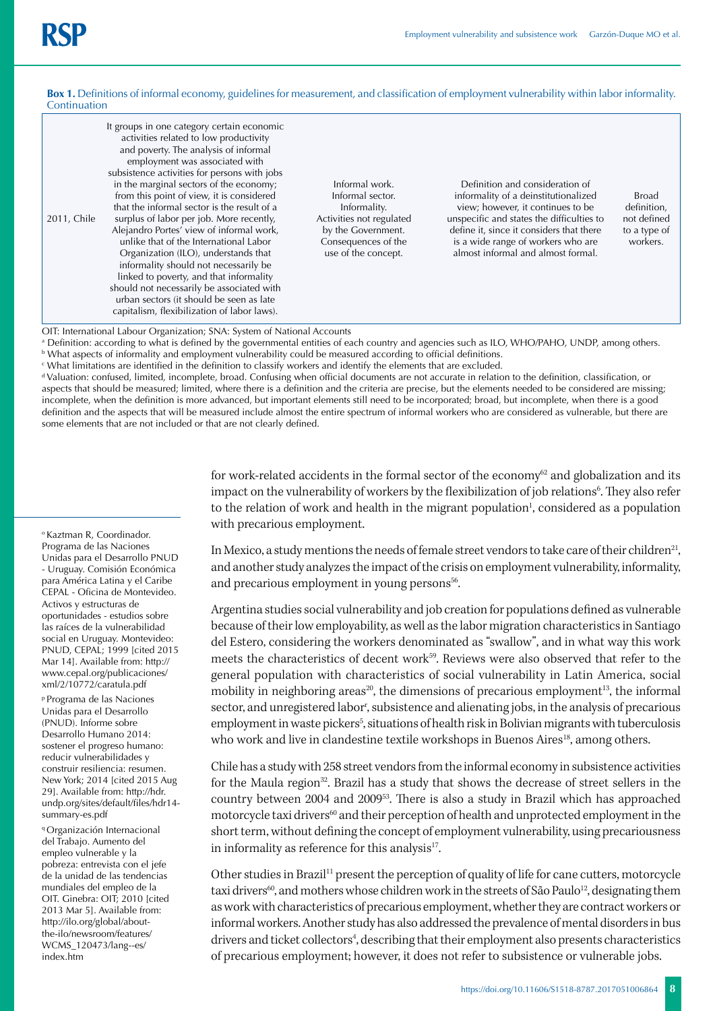#### **Box 1.** Definitions of informal economy, guidelines for measurement, and classification of employment vulnerability within labor informality. Continuation

| It groups in one category certain economic<br>activities related to low productivity<br>and poverty. The analysis of informal<br>employment was associated with<br>subsistence activities for persons with jobs<br>in the marginal sectors of the economy;<br>from this point of view, it is considered<br>that the informal sector is the result of a<br>surplus of labor per job. More recently,<br>2011, Chile<br>Alejandro Portes' view of informal work,<br>unlike that of the International Labor<br>Organization (ILO), understands that<br>informality should not necessarily be<br>linked to poverty, and that informality<br>should not necessarily be associated with<br>urban sectors (it should be seen as late<br>capitalism, flexibilization of labor laws). | Informal work.<br>Informal sector.<br>Informality.<br>Activities not regulated<br>by the Government.<br>Consequences of the<br>use of the concept. | Definition and consideration of<br>informality of a deinstitutionalized<br>view; however, it continues to be<br>unspecific and states the difficulties to<br>define it, since it considers that there<br>is a wide range of workers who are<br>almost informal and almost formal. | Broad<br>definition,<br>not defined<br>to a type of<br>workers. |
|-----------------------------------------------------------------------------------------------------------------------------------------------------------------------------------------------------------------------------------------------------------------------------------------------------------------------------------------------------------------------------------------------------------------------------------------------------------------------------------------------------------------------------------------------------------------------------------------------------------------------------------------------------------------------------------------------------------------------------------------------------------------------------|----------------------------------------------------------------------------------------------------------------------------------------------------|-----------------------------------------------------------------------------------------------------------------------------------------------------------------------------------------------------------------------------------------------------------------------------------|-----------------------------------------------------------------|
|-----------------------------------------------------------------------------------------------------------------------------------------------------------------------------------------------------------------------------------------------------------------------------------------------------------------------------------------------------------------------------------------------------------------------------------------------------------------------------------------------------------------------------------------------------------------------------------------------------------------------------------------------------------------------------------------------------------------------------------------------------------------------------|----------------------------------------------------------------------------------------------------------------------------------------------------|-----------------------------------------------------------------------------------------------------------------------------------------------------------------------------------------------------------------------------------------------------------------------------------|-----------------------------------------------------------------|

OIT: International Labour Organization; SNA: System of National Accounts

a Definition: according to what is defined by the governmental entities of each country and agencies such as ILO, WHO/PAHO, UNDP, among others.  $^{\rm b}$  What aspects of informality and employment vulnerability could be measured according to official definitions.

c What limitations are identified in the definition to classify workers and identify the elements that are excluded.

d Valuation: confused, limited, incomplete, broad. Confusing when official documents are not accurate in relation to the definition, classification, or aspects that should be measured; limited, where there is a definition and the criteria are precise, but the elements needed to be considered are missing; incomplete, when the definition is more advanced, but important elements still need to be incorporated; broad, but incomplete, when there is a good definition and the aspects that will be measured include almost the entire spectrum of informal workers who are considered as vulnerable, but there are some elements that are not included or that are not clearly defined.

> for work-related accidents in the formal sector of the economy<sup>62</sup> and globalization and its impact on the vulnerability of workers by the flexibilization of job relations<sup>6</sup>. They also refer to the relation of work and health in the migrant population<sup>1</sup>, considered as a population with precarious employment.

> In Mexico, a study mentions the needs of female street vendors to take care of their children<sup>21</sup>, and another study analyzes the impact of the crisis on employment vulnerability, informality, and precarious employment in young persons<sup>56</sup>.

> Argentina studies social vulnerability and job creation for populations defined as vulnerable because of their low employability, as well as the labor migration characteristics in Santiago del Estero, considering the workers denominated as "swallow", and in what way this work meets the characteristics of decent work<sup>59</sup>. Reviews were also observed that refer to the general population with characteristics of social vulnerability in Latin America, social mobility in neighboring areas<sup>20</sup>, the dimensions of precarious employment<sup>13</sup>, the informal sector, and unregistered labor<sup>r</sup>, subsistence and alienating jobs, in the analysis of precarious employment in waste pickers<sup>5</sup>, situations of health risk in Bolivian migrants with tuberculosis who work and live in clandestine textile workshops in Buenos Aires<sup>18</sup>, among others.

> Chile has a study with 258 street vendors from the informal economy in subsistence activities for the Maula region<sup>32</sup>. Brazil has a study that shows the decrease of street sellers in the country between 2004 and 200953. There is also a study in Brazil which has approached motorcycle taxi drivers<sup>60</sup> and their perception of health and unprotected employment in the short term, without defining the concept of employment vulnerability, using precariousness in informality as reference for this analysis $17$ .

> Other studies in Brazil<sup>11</sup> present the perception of quality of life for cane cutters, motorcycle taxi drivers<sup>60</sup>, and mothers whose children work in the streets of São Paulo<sup>12</sup>, designating them as work with characteristics of precarious employment, whether they are contract workers or informal workers. Another study has also addressed the prevalence of mental disorders in bus drivers and ticket collectors<sup>4</sup>, describing that their employment also presents characteristics of precarious employment; however, it does not refer to subsistence or vulnerable jobs.

o Kaztman R, Coordinador. Programa de las Naciones Unidas para el Desarrollo PNUD - Uruguay. Comisión Económica para América Latina y el Caribe CEPAL - Oficina de Montevideo. Activos y estructuras de oportunidades - estudios sobre las raíces de la vulnerabilidad social en Uruguay. Montevideo: PNUD, CEPAL; 1999 [cited 2015 Mar 14]. Available from: http:// www.cepal.org/publicaciones/ xml/2/10772/caratula.pdf

p Programa de las Naciones Unidas para el Desarrollo (PNUD). Informe sobre Desarrollo Humano 2014: sostener el progreso humano: reducir vulnerabilidades y construir resiliencia: resumen. New York; 2014 [cited 2015 Aug 29]. Available from: http://hdr. undp.org/sites/default/files/hdr14 summary-es.pdf

q Organización Internacional del Trabajo. Aumento del empleo vulnerable y la pobreza: entrevista con el jefe de la unidad de las tendencias mundiales del empleo de la OIT. Ginebra: OIT; 2010 [cited 2013 Mar 5]. Available from: http://ilo.org/global/aboutthe-ilo/newsroom/features/ WCMS\_120473/lang--es/ index.htm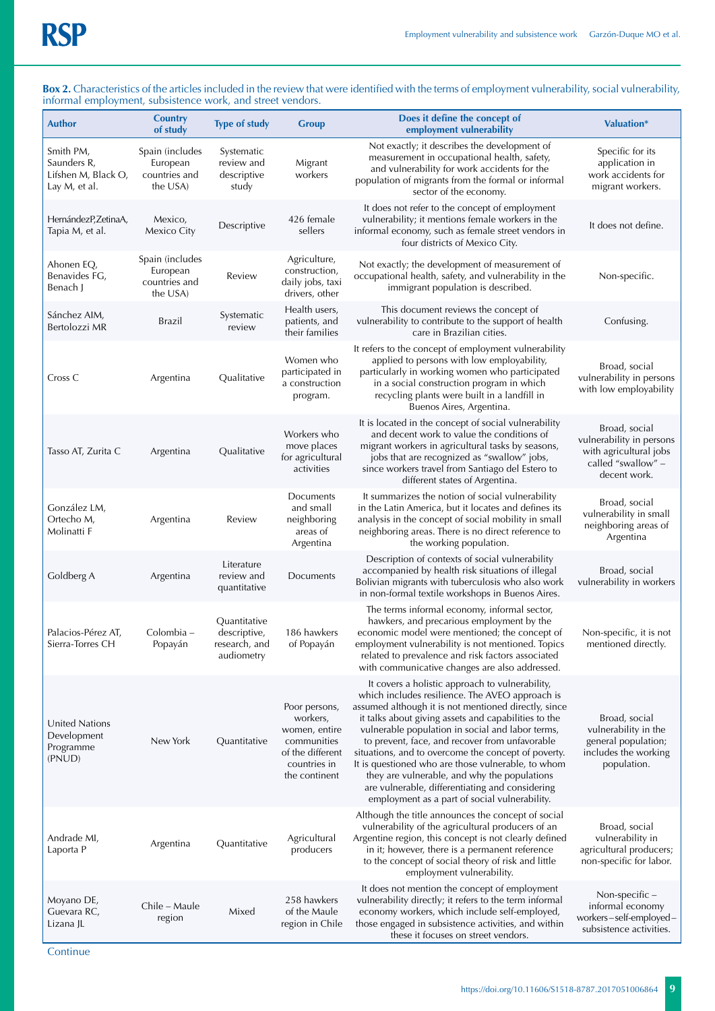#### **Box 2.** Characteristics of the articles included in the review that were identified with the terms of employment vulnerability, social vulnerability, informal employment, subsistence work, and street vendors.

| <b>Author</b>                                                    | <b>Country</b><br>of study                               | <b>Type of study</b>                                        | <b>Group</b>                                                                                                   | Does it define the concept of<br>employment vulnerability                                                                                                                                                                                                                                                                                                                                                                                                                                                                                                                                 | <b>Valuation*</b>                                                                                         |
|------------------------------------------------------------------|----------------------------------------------------------|-------------------------------------------------------------|----------------------------------------------------------------------------------------------------------------|-------------------------------------------------------------------------------------------------------------------------------------------------------------------------------------------------------------------------------------------------------------------------------------------------------------------------------------------------------------------------------------------------------------------------------------------------------------------------------------------------------------------------------------------------------------------------------------------|-----------------------------------------------------------------------------------------------------------|
| Smith PM,<br>Saunders R,<br>Lifshen M, Black O,<br>Lay M, et al. | Spain (includes<br>European<br>countries and<br>the USA) | Systematic<br>review and<br>descriptive<br>study            | Migrant<br>workers                                                                                             | Not exactly; it describes the development of<br>measurement in occupational health, safety,<br>and vulnerability for work accidents for the<br>population of migrants from the formal or informal<br>sector of the economy.                                                                                                                                                                                                                                                                                                                                                               | Specific for its<br>application in<br>work accidents for<br>migrant workers.                              |
| HernándezP, ZetinaA,<br>Tapia M, et al.                          | Mexico,<br>Mexico City                                   | Descriptive                                                 | 426 female<br>sellers                                                                                          | It does not refer to the concept of employment<br>vulnerability; it mentions female workers in the<br>informal economy, such as female street vendors in<br>four districts of Mexico City.                                                                                                                                                                                                                                                                                                                                                                                                | It does not define.                                                                                       |
| Ahonen EQ,<br>Benavides FG,<br>Benach J                          | Spain (includes<br>European<br>countries and<br>the USA) | Review                                                      | Agriculture,<br>construction,<br>daily jobs, taxi<br>drivers, other                                            | Not exactly; the development of measurement of<br>occupational health, safety, and vulnerability in the<br>immigrant population is described.                                                                                                                                                                                                                                                                                                                                                                                                                                             | Non-specific.                                                                                             |
| Sánchez AIM,<br>Bertolozzi MR                                    | Brazil                                                   | Systematic<br>review                                        | Health users,<br>patients, and<br>their families                                                               | This document reviews the concept of<br>vulnerability to contribute to the support of health<br>care in Brazilian cities.                                                                                                                                                                                                                                                                                                                                                                                                                                                                 | Confusing.                                                                                                |
| Cross C                                                          | Argentina                                                | Qualitative                                                 | Women who<br>participated in<br>a construction<br>program.                                                     | It refers to the concept of employment vulnerability<br>applied to persons with low employability,<br>particularly in working women who participated<br>in a social construction program in which<br>recycling plants were built in a landfill in<br>Buenos Aires, Argentina.                                                                                                                                                                                                                                                                                                             | Broad, social<br>vulnerability in persons<br>with low employability                                       |
| Tasso AT, Zurita C                                               | Argentina                                                | Qualitative                                                 | Workers who<br>move places<br>for agricultural<br>activities                                                   | It is located in the concept of social vulnerability<br>and decent work to value the conditions of<br>migrant workers in agricultural tasks by seasons,<br>jobs that are recognized as "swallow" jobs,<br>since workers travel from Santiago del Estero to<br>different states of Argentina.                                                                                                                                                                                                                                                                                              | Broad, social<br>vulnerability in persons<br>with agricultural jobs<br>called "swallow" -<br>decent work. |
| González LM,<br>Ortecho M,<br>Molinatti F                        | Argentina                                                | Review                                                      | Documents<br>and small<br>neighboring<br>areas of<br>Argentina                                                 | It summarizes the notion of social vulnerability<br>in the Latin America, but it locates and defines its<br>analysis in the concept of social mobility in small<br>neighboring areas. There is no direct reference to<br>the working population.                                                                                                                                                                                                                                                                                                                                          | Broad, social<br>vulnerability in small<br>neighboring areas of<br>Argentina                              |
| Goldberg A                                                       | Argentina                                                | Literature<br>review and<br>quantitative                    | Documents                                                                                                      | Description of contexts of social vulnerability<br>accompanied by health risk situations of illegal<br>Bolivian migrants with tuberculosis who also work<br>in non-formal textile workshops in Buenos Aires.                                                                                                                                                                                                                                                                                                                                                                              | Broad, social<br>vulnerability in workers                                                                 |
| Palacios-Pérez AT,<br>Sierra-Torres CH                           | Colombia –<br>Popayán                                    | Quantitative<br>descriptive,<br>research, and<br>audiometry | 186 hawkers<br>of Popayán                                                                                      | The terms informal economy, informal sector,<br>hawkers, and precarious employment by the<br>economic model were mentioned; the concept of<br>employment vulnerability is not mentioned. Topics<br>related to prevalence and risk factors associated<br>with communicative changes are also addressed.                                                                                                                                                                                                                                                                                    | Non-specific, it is not<br>mentioned directly.                                                            |
| United Nations<br>Development<br>Programme<br>(PNUD)             | New York                                                 | Quantitative                                                | Poor persons,<br>workers,<br>women, entire<br>communities<br>of the different<br>countries in<br>the continent | It covers a holistic approach to vulnerability,<br>which includes resilience. The AVEO approach is<br>assumed although it is not mentioned directly, since<br>it talks about giving assets and capabilities to the<br>vulnerable population in social and labor terms,<br>to prevent, face, and recover from unfavorable<br>situations, and to overcome the concept of poverty.<br>It is questioned who are those vulnerable, to whom<br>they are vulnerable, and why the populations<br>are vulnerable, differentiating and considering<br>employment as a part of social vulnerability. | Broad, social<br>vulnerability in the<br>general population;<br>includes the working<br>population.       |
| Andrade MI,<br>Laporta P                                         | Argentina                                                | Quantitative                                                | Agricultural<br>producers                                                                                      | Although the title announces the concept of social<br>vulnerability of the agricultural producers of an<br>Argentine region, this concept is not clearly defined<br>in it; however, there is a permanent reference<br>to the concept of social theory of risk and little<br>employment vulnerability.                                                                                                                                                                                                                                                                                     | Broad, social<br>vulnerability in<br>agricultural producers;<br>non-specific for labor.                   |
| Moyano DE,<br>Guevara RC,<br>Lizana JL                           | Chile – Maule<br>region                                  | Mixed                                                       | 258 hawkers<br>of the Maule<br>region in Chile                                                                 | It does not mention the concept of employment<br>vulnerability directly; it refers to the term informal<br>economy workers, which include self-employed,<br>those engaged in subsistence activities, and within<br>these it focuses on street vendors.                                                                                                                                                                                                                                                                                                                                    | Non-specific -<br>informal economy<br>workers-self-employed-<br>subsistence activities.                   |

**Continue**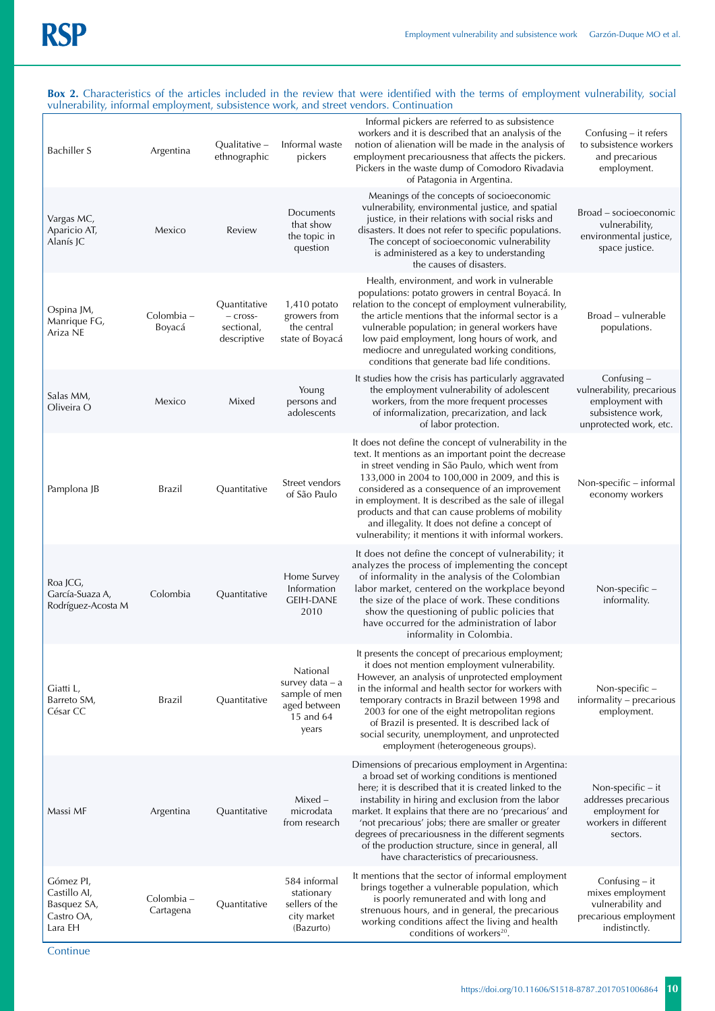#### **Box 2.** Characteristics of the articles included in the review that were identified with the terms of employment vulnerability, social vulnerability, informal employment, subsistence work, and street vendors. Continuation

| <b>Bachiller S</b>                                                | Argentina               | Qualitative -<br>ethnographic                           | Informal waste<br>pickers                                                          | Informal pickers are referred to as subsistence<br>workers and it is described that an analysis of the<br>notion of alienation will be made in the analysis of<br>employment precariousness that affects the pickers.<br>Pickers in the waste dump of Comodoro Rivadavia<br>of Patagonia in Argentina.                                                                                                                                                                                        | Confusing $-$ it refers<br>to subsistence workers<br>and precarious<br>employment.                           |
|-------------------------------------------------------------------|-------------------------|---------------------------------------------------------|------------------------------------------------------------------------------------|-----------------------------------------------------------------------------------------------------------------------------------------------------------------------------------------------------------------------------------------------------------------------------------------------------------------------------------------------------------------------------------------------------------------------------------------------------------------------------------------------|--------------------------------------------------------------------------------------------------------------|
| Vargas MC,<br>Aparicio AT,<br>Alanís JC                           | Mexico                  | Review                                                  | Documents<br>that show<br>the topic in<br>question                                 | Meanings of the concepts of socioeconomic<br>vulnerability, environmental justice, and spatial<br>justice, in their relations with social risks and<br>disasters. It does not refer to specific populations.<br>The concept of socioeconomic vulnerability<br>is administered as a key to understanding<br>the causes of disasters.                                                                                                                                                           | Broad - socioeconomic<br>vulnerability,<br>environmental justice,<br>space justice.                          |
| Ospina JM,<br>Manrique FG,<br>Ariza NE                            | Colombia -<br>Boyacá    | Quantitative<br>$-$ cross-<br>sectional,<br>descriptive | $1,410$ potato<br>growers from<br>the central<br>state of Boyacá                   | Health, environment, and work in vulnerable<br>populations: potato growers in central Boyacá. In<br>relation to the concept of employment vulnerability,<br>the article mentions that the informal sector is a<br>vulnerable population; in general workers have<br>low paid employment, long hours of work, and<br>mediocre and unregulated working conditions,<br>conditions that generate bad life conditions.                                                                             | Broad – vulnerable<br>populations.                                                                           |
| Salas MM,<br>Oliveira O                                           | Mexico                  | Mixed                                                   | Young<br>persons and<br>adolescents                                                | It studies how the crisis has particularly aggravated<br>the employment vulnerability of adolescent<br>workers, from the more frequent processes<br>of informalization, precarization, and lack<br>of labor protection.                                                                                                                                                                                                                                                                       | Confusing $-$<br>vulnerability, precarious<br>employment with<br>subsistence work,<br>unprotected work, etc. |
| Pamplona JB                                                       | Brazil                  | Quantitative                                            | Street vendors<br>of São Paulo                                                     | It does not define the concept of vulnerability in the<br>text. It mentions as an important point the decrease<br>in street vending in São Paulo, which went from<br>133,000 in 2004 to 100,000 in 2009, and this is<br>considered as a consequence of an improvement<br>in employment. It is described as the sale of illegal<br>products and that can cause problems of mobility<br>and illegality. It does not define a concept of<br>vulnerability; it mentions it with informal workers. | Non-specific - informal<br>economy workers                                                                   |
| Roa JCG,<br>García-Suaza A,<br>Rodríguez-Acosta M                 | Colombia                | Quantitative                                            | Home Survey<br>Information<br><b>GEIH-DANE</b><br>2010                             | It does not define the concept of vulnerability; it<br>analyzes the process of implementing the concept<br>of informality in the analysis of the Colombian<br>labor market, centered on the workplace beyond<br>the size of the place of work. These conditions<br>show the questioning of public policies that<br>have occurred for the administration of labor<br>informality in Colombia.                                                                                                  | Non-specific -<br>informality.                                                                               |
| Giatti L,<br>Barreto SM,<br>César CC                              | Brazil                  | Quantitative                                            | National<br>survey data – a<br>sample of men<br>aged between<br>15 and 64<br>years | It presents the concept of precarious employment;<br>it does not mention employment vulnerability.<br>However, an analysis of unprotected employment<br>in the informal and health sector for workers with<br>temporary contracts in Brazil between 1998 and<br>2003 for one of the eight metropolitan regions<br>of Brazil is presented. It is described lack of<br>social security, unemployment, and unprotected<br>employment (heterogeneous groups).                                     | Non-specific-<br>informality - precarious<br>employment.                                                     |
| Massi MF                                                          | Argentina               | Quantitative                                            | $Mixed -$<br>microdata<br>from research                                            | Dimensions of precarious employment in Argentina:<br>a broad set of working conditions is mentioned<br>here; it is described that it is created linked to the<br>instability in hiring and exclusion from the labor<br>market. It explains that there are no 'precarious' and<br>'not precarious' jobs; there are smaller or greater<br>degrees of precariousness in the different segments<br>of the production structure, since in general, all<br>have characteristics of precariousness.  | Non-specific $-$ it<br>addresses precarious<br>employment for<br>workers in different<br>sectors.            |
| Gómez PI,<br>Castillo AI,<br>Basquez SA,<br>Castro OA,<br>Lara EH | Colombia –<br>Cartagena | Quantitative                                            | 584 informal<br>stationary<br>sellers of the<br>city market<br>(Bazurto)           | It mentions that the sector of informal employment<br>brings together a vulnerable population, which<br>is poorly remunerated and with long and<br>strenuous hours, and in general, the precarious<br>working conditions affect the living and health<br>conditions of workers <sup>20</sup> .                                                                                                                                                                                                | Confusing $-$ it<br>mixes employment<br>vulnerability and<br>precarious employment<br>indistinctly.          |

**Continue**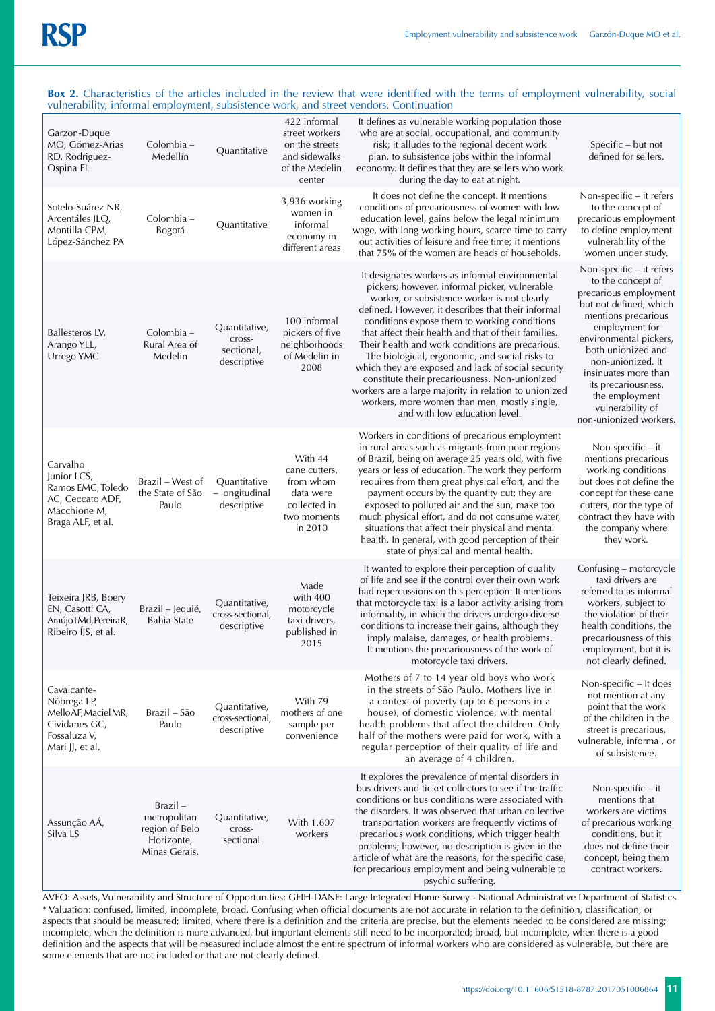#### **Box 2.** Characteristics of the articles included in the review that were identified with the terms of employment vulnerability, social vulnerability, informal employment, subsistence work, and street vendors. Continuation

| Garzon-Duque<br>MO, Gómez-Arias<br>RD, Rodriguez-<br>Ospina FL                                        | Colombia -<br>Medellín                                                    | Quantitative                                         | 422 informal<br>street workers<br>on the streets<br>and sidewalks<br>of the Medelin<br>center | It defines as vulnerable working population those<br>who are at social, occupational, and community<br>risk; it alludes to the regional decent work<br>plan, to subsistence jobs within the informal<br>economy. It defines that they are sellers who work<br>during the day to eat at night.                                                                                                                                                                                                                                                                                                                                                                          | Specific – but not<br>defined for sellers.                                                                                                                                                                                                                                                                                    |
|-------------------------------------------------------------------------------------------------------|---------------------------------------------------------------------------|------------------------------------------------------|-----------------------------------------------------------------------------------------------|------------------------------------------------------------------------------------------------------------------------------------------------------------------------------------------------------------------------------------------------------------------------------------------------------------------------------------------------------------------------------------------------------------------------------------------------------------------------------------------------------------------------------------------------------------------------------------------------------------------------------------------------------------------------|-------------------------------------------------------------------------------------------------------------------------------------------------------------------------------------------------------------------------------------------------------------------------------------------------------------------------------|
| Sotelo-Suárez NR,<br>Arcentáles JLQ,<br>Montilla CPM,<br>López-Sánchez PA                             | Colombia –<br>Bogotá                                                      | Quantitative                                         | 3,936 working<br>women in<br>informal<br>economy in<br>different areas                        | It does not define the concept. It mentions<br>conditions of precariousness of women with low<br>education level, gains below the legal minimum<br>wage, with long working hours, scarce time to carry<br>out activities of leisure and free time; it mentions<br>that 75% of the women are heads of households.                                                                                                                                                                                                                                                                                                                                                       | Non-specific - it refers<br>to the concept of<br>precarious employment<br>to define employment<br>vulnerability of the<br>women under study.                                                                                                                                                                                  |
| Ballesteros LV,<br>Arango YLL,<br>Urrego YMC                                                          | Colombia -<br>Rural Area of<br>Medelin                                    | Quantitative,<br>cross-<br>sectional,<br>descriptive | 100 informal<br>pickers of five<br>neighborhoods<br>of Medelin in<br>2008                     | It designates workers as informal environmental<br>pickers; however, informal picker, vulnerable<br>worker, or subsistence worker is not clearly<br>defined. However, it describes that their informal<br>conditions expose them to working conditions<br>that affect their health and that of their families.<br>Their health and work conditions are precarious.<br>The biological, ergonomic, and social risks to<br>which they are exposed and lack of social security<br>constitute their precariousness. Non-unionized<br>workers are a large majority in relation to unionized<br>workers, more women than men, mostly single,<br>and with low education level. | Non-specific - it refers<br>to the concept of<br>precarious employment<br>but not defined, which<br>mentions precarious<br>employment for<br>environmental pickers,<br>both unionized and<br>non-unionized. It<br>insinuates more than<br>its precariousness,<br>the employment<br>vulnerability of<br>non-unionized workers. |
| Carvalho<br>Junior LCS,<br>Ramos EMC, Toledo<br>AC, Ceccato ADF,<br>Macchione M,<br>Braga ALF, et al. | Brazil – West of<br>the State of São<br>Paulo                             | Quantitative<br>- longitudinal<br>descriptive        | With 44<br>cane cutters,<br>from whom<br>data were<br>collected in<br>two moments<br>in 2010  | Workers in conditions of precarious employment<br>in rural areas such as migrants from poor regions<br>of Brazil, being on average 25 years old, with five<br>years or less of education. The work they perform<br>requires from them great physical effort, and the<br>payment occurs by the quantity cut; they are<br>exposed to polluted air and the sun, make too<br>much physical effort, and do not consume water,<br>situations that affect their physical and mental<br>health. In general, with good perception of their<br>state of physical and mental health.                                                                                              | Non-specific $-$ it<br>mentions precarious<br>working conditions<br>but does not define the<br>concept for these cane<br>cutters, nor the type of<br>contract they have with<br>the company where<br>they work.                                                                                                               |
| Teixeira JRB, Boery<br>EN, Casotti CA,<br>AraújoTMd, PereiraR,<br>Ribeiro IJS, et al.                 | Brazil – Jequié,<br>Bahia State                                           | Quantitative,<br>cross-sectional,<br>descriptive     | Made<br>with 400<br>motorcycle<br>taxi drivers,<br>published in<br>2015                       | It wanted to explore their perception of quality<br>of life and see if the control over their own work<br>had repercussions on this perception. It mentions<br>that motorcycle taxi is a labor activity arising from<br>informality, in which the drivers undergo diverse<br>conditions to increase their gains, although they<br>imply malaise, damages, or health problems.<br>It mentions the precariousness of the work of<br>motorcycle taxi drivers.                                                                                                                                                                                                             | Confusing - motorcycle<br>taxi drivers are<br>referred to as informal<br>workers, subject to<br>the violation of their<br>health conditions, the<br>precariousness of this<br>employment, but it is<br>not clearly defined.                                                                                                   |
| Cavalcante-<br>Nóbrega LP,<br>MelloAF, Maciel MR,<br>Cividanes GC,<br>Fossaluza V,<br>Mari JJ, et al. | Brazil – São<br>Paulo                                                     | Quantitative,<br>cross-sectional,<br>descriptive     | With 79<br>mothers of one<br>sample per<br>convenience                                        | Mothers of 7 to 14 year old boys who work<br>in the streets of São Paulo. Mothers live in<br>a context of poverty (up to 6 persons in a<br>house), of domestic violence, with mental<br>health problems that affect the children. Only<br>half of the mothers were paid for work, with a<br>regular perception of their quality of life and<br>an average of 4 children.                                                                                                                                                                                                                                                                                               | Non-specific - It does<br>not mention at any<br>point that the work<br>of the children in the<br>street is precarious,<br>vulnerable, informal, or<br>of subsistence.                                                                                                                                                         |
| Assunção AÁ,<br>Silva LS                                                                              | Brazil –<br>metropolitan<br>region of Belo<br>Horizonte,<br>Minas Gerais. | Quantitative,<br>cross-<br>sectional                 | With 1,607<br>workers                                                                         | It explores the prevalence of mental disorders in<br>bus drivers and ticket collectors to see if the traffic<br>conditions or bus conditions were associated with<br>the disorders. It was observed that urban collective<br>transportation workers are frequently victims of<br>precarious work conditions, which trigger health<br>problems; however, no description is given in the<br>article of what are the reasons, for the specific case,<br>for precarious employment and being vulnerable to<br>psychic suffering.                                                                                                                                           | Non-specific $-$ it<br>mentions that<br>workers are victims<br>of precarious working<br>conditions, but it<br>does not define their<br>concept, being them<br>contract workers.                                                                                                                                               |

AVEO: Assets, Vulnerability and Structure of Opportunities; GEIH-DANE: Large Integrated Home Survey - National Administrative Department of Statistics \* Valuation: confused, limited, incomplete, broad. Confusing when official documents are not accurate in relation to the definition, classification, or aspects that should be measured; limited, where there is a definition and the criteria are precise, but the elements needed to be considered are missing; incomplete, when the definition is more advanced, but important elements still need to be incorporated; broad, but incomplete, when there is a good definition and the aspects that will be measured include almost the entire spectrum of informal workers who are considered as vulnerable, but there are some elements that are not included or that are not clearly defined.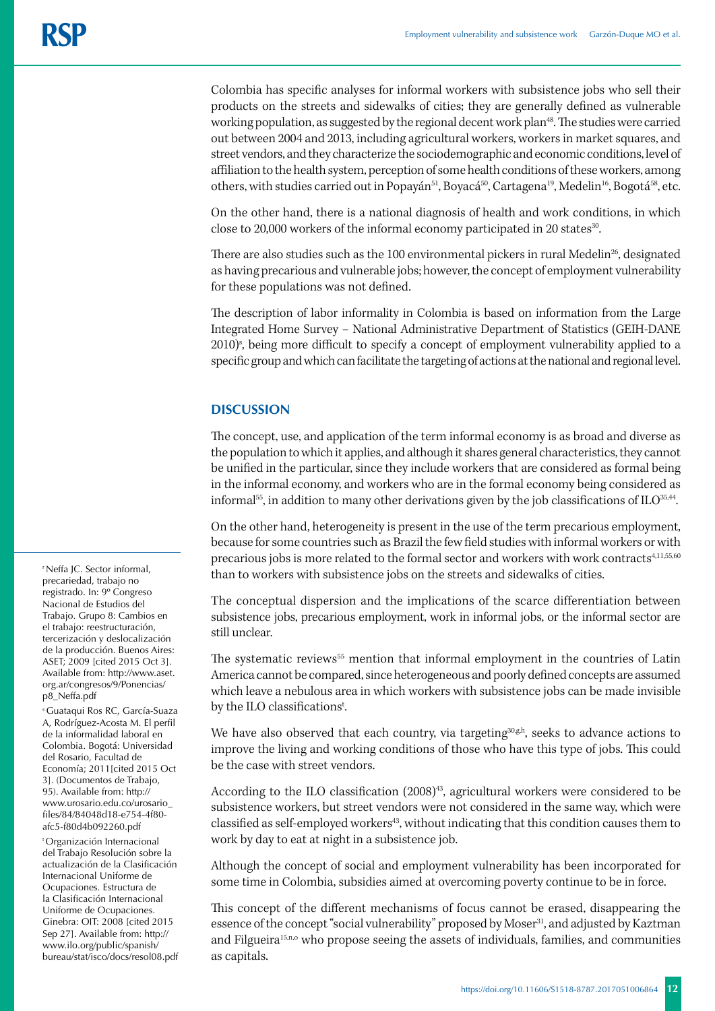Colombia has specific analyses for informal workers with subsistence jobs who sell their products on the streets and sidewalks of cities; they are generally defined as vulnerable working population, as suggested by the regional decent work plan<sup>48</sup>. The studies were carried out between 2004 and 2013, including agricultural workers, workers in market squares, and street vendors, and they characterize the sociodemographic and economic conditions, level of affiliation to the health system, perception of some health conditions of these workers, among others, with studies carried out in Popayán<sup>51</sup>, Boyacá<sup>50</sup>, Cartagena<sup>19</sup>, Medelin<sup>16</sup>, Bogotá<sup>58</sup>, etc.

On the other hand, there is a national diagnosis of health and work conditions, in which close to 20,000 workers of the informal economy participated in 20 states $30$ .

There are also studies such as the 100 environmental pickers in rural Medelin<sup>26</sup>, designated as having precarious and vulnerable jobs; however, the concept of employment vulnerability for these populations was not defined.

The description of labor informality in Colombia is based on information from the Large Integrated Home Survey – National Administrative Department of Statistics (GEIH-DANE 2010)<sup>s</sup>, being more difficult to specify a concept of employment vulnerability applied to a specific group and which can facilitate the targeting of actions at the national and regional level.

# **DISCUSSION**

The concept, use, and application of the term informal economy is as broad and diverse as the population to which it applies, and although it shares general characteristics, they cannot be unified in the particular, since they include workers that are considered as formal being in the informal economy, and workers who are in the formal economy being considered as informal<sup>55</sup>, in addition to many other derivations given by the job classifications of ILO<sup>35,44</sup>.

On the other hand, heterogeneity is present in the use of the term precarious employment, because for some countries such as Brazil the few field studies with informal workers or with precarious jobs is more related to the formal sector and workers with work contracts<sup>4,11,55,60</sup> than to workers with subsistence jobs on the streets and sidewalks of cities.

The conceptual dispersion and the implications of the scarce differentiation between subsistence jobs, precarious employment, work in informal jobs, or the informal sector are still unclear.

The systematic reviews<sup>55</sup> mention that informal employment in the countries of Latin America cannot be compared, since heterogeneous and poorly defined concepts are assumed which leave a nebulous area in which workers with subsistence jobs can be made invisible by the ILO classifications<sup>t</sup>.

We have also observed that each country, via targeting $30,gh$ , seeks to advance actions to improve the living and working conditions of those who have this type of jobs. This could be the case with street vendors.

According to the ILO classification  $(2008)^{43}$ , agricultural workers were considered to be subsistence workers, but street vendors were not considered in the same way, which were classified as self-employed workers43, without indicating that this condition causes them to work by day to eat at night in a subsistence job.

Although the concept of social and employment vulnerability has been incorporated for some time in Colombia, subsidies aimed at overcoming poverty continue to be in force.

This concept of the different mechanisms of focus cannot be erased, disappearing the essence of the concept "social vulnerability" proposed by Moser<sup>31</sup>, and adjusted by Kaztman and Filgueira<sup>15,n,o</sup> who propose seeing the assets of individuals, families, and communities as capitals.

r Neffa JC. Sector informal, precariedad, trabajo no registrado. In: 9º Congreso Nacional de Estudios del Trabajo. Grupo 8: Cambios en el trabajo: reestructuración, tercerización y deslocalización de la producción. Buenos Aires: ASET; 2009 [cited 2015 Oct 3]. Available from: http://www.aset. org.ar/congresos/9/Ponencias/ p8\_Neffa.pdf

s Guataqui Ros RC, García-Suaza A, Rodríguez-Acosta M. El perfil de la informalidad laboral en Colombia. Bogotá: Universidad del Rosario, Facultad de Economía; 2011[cited 2015 Oct 3]. (Documentos de Trabajo, 95). Available from: http:// www.urosario.edu.co/urosario\_ files/84/84048d18-e754-4f80 afc5-f80d4b092260.pdf

t Organización Internacional del Trabajo Resolución sobre la actualización de la Clasificación Internacional Uniforme de Ocupaciones. Estructura de la Clasificación Internacional Uniforme de Ocupaciones. Ginebra: OIT: 2008 [cited 2015 Sep 27]. Available from: http:// www.ilo.org/public/spanish/ bureau/stat/isco/docs/resol08.pdf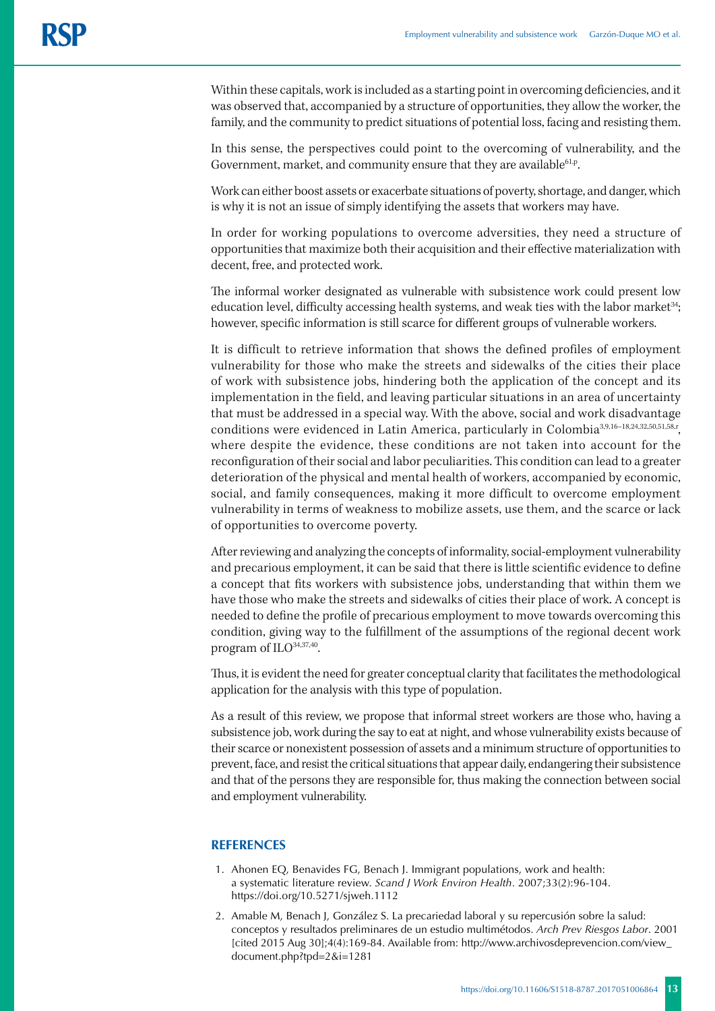Within these capitals, work is included as a starting point in overcoming deficiencies, and it was observed that, accompanied by a structure of opportunities, they allow the worker, the family, and the community to predict situations of potential loss, facing and resisting them.

In this sense, the perspectives could point to the overcoming of vulnerability, and the Government, market, and community ensure that they are available<sup>61,p</sup>.

Work can either boost assets or exacerbate situations of poverty, shortage, and danger, which is why it is not an issue of simply identifying the assets that workers may have.

In order for working populations to overcome adversities, they need a structure of opportunities that maximize both their acquisition and their effective materialization with decent, free, and protected work.

The informal worker designated as vulnerable with subsistence work could present low education level, difficulty accessing health systems, and weak ties with the labor market<sup>34</sup>; however, specific information is still scarce for different groups of vulnerable workers.

It is difficult to retrieve information that shows the defined profiles of employment vulnerability for those who make the streets and sidewalks of the cities their place of work with subsistence jobs, hindering both the application of the concept and its implementation in the field, and leaving particular situations in an area of uncertainty that must be addressed in a special way. With the above, social and work disadvantage conditions were evidenced in Latin America, particularly in Colombia<sup>3,9,16-18,24,32,50,51,58,r</sup>, where despite the evidence, these conditions are not taken into account for the reconfiguration of their social and labor peculiarities. This condition can lead to a greater deterioration of the physical and mental health of workers, accompanied by economic, social, and family consequences, making it more difficult to overcome employment vulnerability in terms of weakness to mobilize assets, use them, and the scarce or lack of opportunities to overcome poverty.

After reviewing and analyzing the concepts of informality, social-employment vulnerability and precarious employment, it can be said that there is little scientific evidence to define a concept that fits workers with subsistence jobs, understanding that within them we have those who make the streets and sidewalks of cities their place of work. A concept is needed to define the profile of precarious employment to move towards overcoming this condition, giving way to the fulfillment of the assumptions of the regional decent work program of ILO<sup>34,37,40</sup>.

Thus, it is evident the need for greater conceptual clarity that facilitates the methodological application for the analysis with this type of population.

As a result of this review, we propose that informal street workers are those who, having a subsistence job, work during the say to eat at night, and whose vulnerability exists because of their scarce or nonexistent possession of assets and a minimum structure of opportunities to prevent, face, and resist the critical situations that appear daily, endangering their subsistence and that of the persons they are responsible for, thus making the connection between social and employment vulnerability.

## **REFERENCES**

- 1. Ahonen EQ, Benavides FG, Benach J. Immigrant populations, work and health: a systematic literature review. *Scand J Work Environ Health*. 2007;33(2):96-104. https://doi.org/10.5271/sjweh.1112
- 2. Amable M, Benach J, González S. La precariedad laboral y su repercusión sobre la salud: conceptos y resultados preliminares de un estudio multimétodos. *Arch Prev Riesgos Labor*. 2001 [cited 2015 Aug 30];4(4):169-84. Available from: http://www.archivosdeprevencion.com/view\_ document.php?tpd=2&i=1281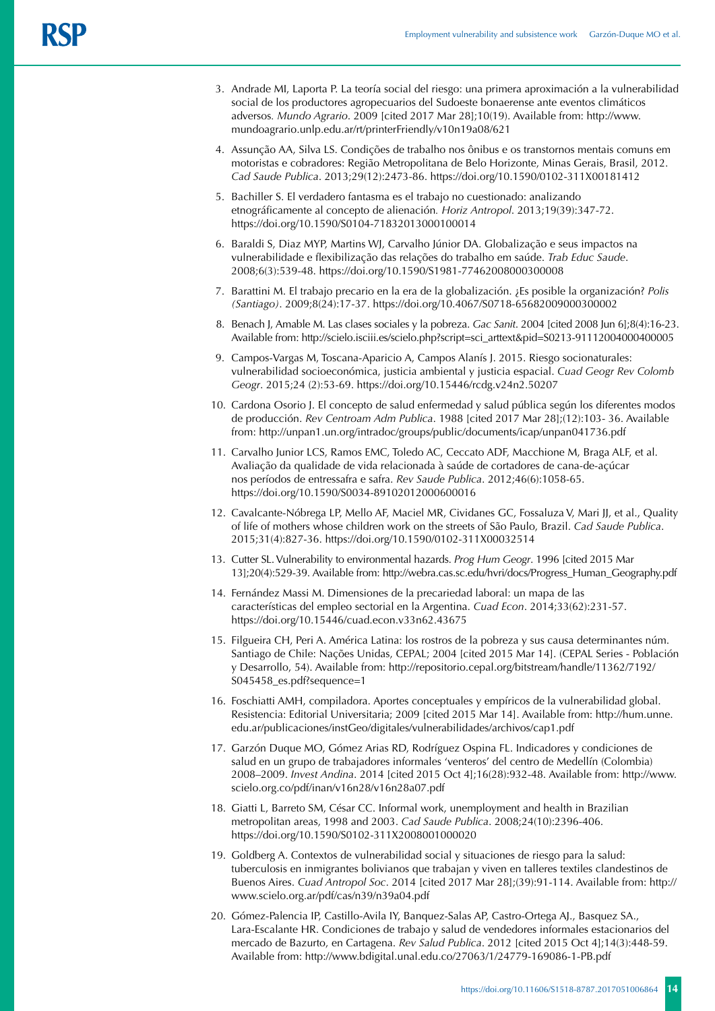- 3. Andrade MI, Laporta P. La teoría social del riesgo: una primera aproximación a la vulnerabilidad social de los productores agropecuarios del Sudoeste bonaerense ante eventos climáticos adversos*. Mundo Agrario*. 2009 [cited 2017 Mar 28];10(19). Available from: http://www. mundoagrario.unlp.edu.ar/rt/printerFriendly/v10n19a08/621
- 4. Assunção AA, Silva LS. Condições de trabalho nos ônibus e os transtornos mentais comuns em motoristas e cobradores: Região Metropolitana de Belo Horizonte, Minas Gerais, Brasil, 2012. *Cad Saude Publica*. 2013;29(12):2473-86. https://doi.org/10.1590/0102-311X00181412
- 5. Bachiller S. El verdadero fantasma es el trabajo no cuestionado: analizando etnográficamente al concepto de alienación*. Horiz Antropol*. 2013;19(39):347-72. https://doi.org/10.1590/S0104-71832013000100014
- 6. Baraldi S, Diaz MYP, Martins WJ, Carvalho Júnior DA. Globalização e seus impactos na vulnerabilidade e flexibilização das relações do trabalho em saúde. *Trab Educ Saude*. 2008;6(3):539-48. https://doi.org/10.1590/S1981-77462008000300008
- 7. Barattini M. El trabajo precario en la era de la globalización. ¿Es posible la organización? *Polis (Santiago)*. 2009;8(24):17-37. https://doi.org/10.4067/S0718-65682009000300002
- 8. Benach J, Amable M. Las clases sociales y la pobreza. *Gac Sanit*. 2004 [cited 2008 Jun 6];8(4):16-23. Available from: http://scielo.isciii.es/scielo.php?script=sci\_arttext&pid=S0213-91112004000400005
- 9. Campos-Vargas M, Toscana-Aparicio A, Campos Alanís J. 2015. Riesgo socionaturales: vulnerabilidad socioeconómica, justicia ambiental y justicia espacial. *Cuad Geogr Rev Colomb Geogr*. 2015;24 (2):53-69. https://doi.org/10.15446/rcdg.v24n2.50207
- 10. Cardona Osorio J. El concepto de salud enfermedad y salud pública según los diferentes modos de producción. *Rev Centroam Adm Publica*. 1988 [cited 2017 Mar 28];(12):103- 36. Available from: http://unpan1.un.org/intradoc/groups/public/documents/icap/unpan041736.pdf
- 11. Carvalho Junior LCS, Ramos EMC, Toledo AC, Ceccato ADF, Macchione M, Braga ALF, et al. Avaliação da qualidade de vida relacionada à saúde de cortadores de cana-de-açúcar nos períodos de entressafra e safra. *Rev Saude Publica*. 2012;46(6):1058-65. https://doi.org/10.1590/S0034-89102012000600016
- 12. Cavalcante-Nóbrega LP, Mello AF, Maciel MR, Cividanes GC, Fossaluza V, Mari JJ, et al., Quality of life of mothers whose children work on the streets of São Paulo, Brazil. *Cad Saude Publica*. 2015;31(4):827-36. https://doi.org/10.1590/0102-311X00032514
- 13. Cutter SL. Vulnerability to environmental hazards. *Prog Hum Geogr*. 1996 [cited 2015 Mar 13];20(4):529-39. Available from: http://webra.cas.sc.edu/hvri/docs/Progress\_Human\_Geography.pdf
- 14. Fernández Massi M. Dimensiones de la precariedad laboral: un mapa de las características del empleo sectorial en la Argentina. *Cuad Econ*. 2014;33(62):231-57. https://doi.org/10.15446/cuad.econ.v33n62.43675
- 15. Filgueira CH, Peri A. América Latina: los rostros de la pobreza y sus causa determinantes núm. Santiago de Chile: Nações Unidas, CEPAL; 2004 [cited 2015 Mar 14]. (CEPAL Series - Población y Desarrollo, 54). Available from: http://repositorio.cepal.org/bitstream/handle/11362/7192/ S045458\_es.pdf?sequence=1
- 16. Foschiatti AMH, compiladora. Aportes conceptuales y empíricos de la vulnerabilidad global. Resistencia: Editorial Universitaria; 2009 [cited 2015 Mar 14]. Available from: http://hum.unne. edu.ar/publicaciones/instGeo/digitales/vulnerabilidades/archivos/cap1.pdf
- 17. Garzón Duque MO, Gómez Arias RD, Rodríguez Ospina FL. Indicadores y condiciones de salud en un grupo de trabajadores informales 'venteros' del centro de Medellín (Colombia) 2008–2009. *Invest Andina*. 2014 [cited 2015 Oct 4];16(28):932-48. Available from: http://www. scielo.org.co/pdf/inan/v16n28/v16n28a07.pdf
- 18. Giatti L, Barreto SM, César CC. Informal work, unemployment and health in Brazilian metropolitan areas, 1998 and 2003. *Cad Saude Publica*. 2008;24(10):2396-406. https://doi.org/10.1590/S0102-311X2008001000020
- 19. Goldberg A. Contextos de vulnerabilidad social y situaciones de riesgo para la salud: tuberculosis en inmigrantes bolivianos que trabajan y viven en talleres textiles clandestinos de Buenos Aires. *Cuad Antropol Soc*. 2014 [cited 2017 Mar 28];(39):91-114. Available from: http:// www.scielo.org.ar/pdf/cas/n39/n39a04.pdf
- 20. Gómez-Palencia IP, Castillo-Avila IY, Banquez-Salas AP, Castro-Ortega AJ., Basquez SA., Lara-Escalante HR. Condiciones de trabajo y salud de vendedores informales estacionarios del mercado de Bazurto, en Cartagena. *Rev Salud Publica*. 2012 [cited 2015 Oct 4];14(3):448-59. Available from: http://www.bdigital.unal.edu.co/27063/1/24779-169086-1-PB.pdf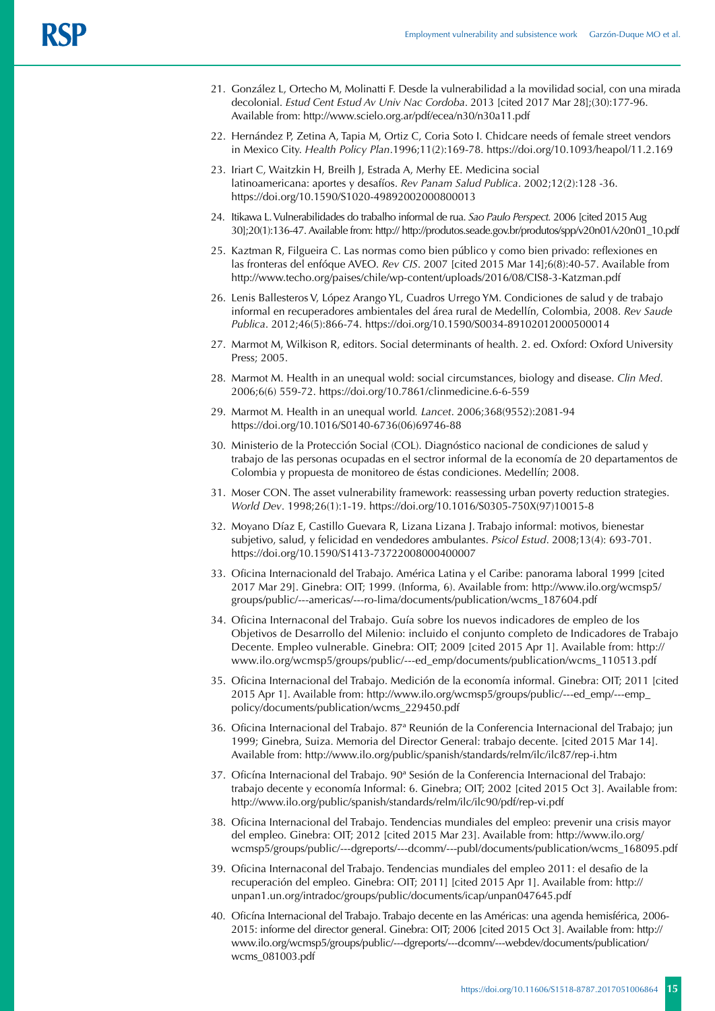- 21. González L, Ortecho M, Molinatti F. Desde la vulnerabilidad a la movilidad social, con una mirada decolonial. *Estud Cent Estud Av Univ Nac Cordoba*. 2013 [cited 2017 Mar 28];(30):177-96. Available from: http://www.scielo.org.ar/pdf/ecea/n30/n30a11.pdf
- 22. Hernández P, Zetina A, Tapia M, Ortiz C, Coria Soto I. Chidcare needs of female street vendors in Mexico City. *Health Policy Plan*.1996;11(2):169-78. https://doi.org/10.1093/heapol/11.2.169
- 23. Iriart C, Waitzkin H, Breilh J, Estrada A, Merhy EE. Medicina social latinoamericana: aportes y desafíos. *Rev Panam Salud Publica*. 2002;12(2):128 -36. https://doi.org/10.1590/S1020-49892002000800013
- 24. Itikawa L. Vulnerabilidades do trabalho informal de rua. *Sao Paulo Perspect.* 2006 [cited 2015 Aug 30];20(1):136-47. Available from: http:// http://produtos.seade.gov.br/produtos/spp/v20n01/v20n01\_10.pdf
- 25. Kaztman R, Filgueira C. Las normas como bien público y como bien privado: reflexiones en las fronteras del enfóque AVEO. *Rev CIS*. 2007 [cited 2015 Mar 14];6(8):40-57. Available from http://www.techo.org/paises/chile/wp-content/uploads/2016/08/CIS8-3-Katzman.pdf
- 26. Lenis Ballesteros V, López Arango YL, Cuadros Urrego YM. Condiciones de salud y de trabajo informal en recuperadores ambientales del área rural de Medellín, Colombia, 2008. *Rev Saude Publica*. 2012;46(5):866-74. https://doi.org/10.1590/S0034-89102012000500014
- 27. Marmot M, Wilkison R, editors. Social determinants of health. 2. ed. Oxford: Oxford University Press; 2005.
- 28. Marmot M. Health in an unequal wold: social circumstances, biology and disease. *Clin Med*. 2006;6(6) 559-72. https://doi.org/10.7861/clinmedicine.6-6-559
- 29. Marmot M. Health in an unequal world*. Lancet*. 2006;368(9552):2081-94 https://doi.org/10.1016/S0140-6736(06)69746-88
- 30. Ministerio de la Protección Social (COL). Diagnóstico nacional de condiciones de salud y trabajo de las personas ocupadas en el sectror informal de la economía de 20 departamentos de Colombia y propuesta de monitoreo de éstas condiciones. Medellín; 2008.
- 31. Moser CON. The asset vulnerability framework: reassessing urban poverty reduction strategies. *World Dev*. 1998;26(1):1-19. https://doi.org/10.1016/S0305-750X(97)10015-8
- 32. Moyano Díaz E, Castillo Guevara R, Lizana Lizana J. Trabajo informal: motivos, bienestar subjetivo, salud, y felicidad en vendedores ambulantes. *Psicol Estud*. 2008;13(4): 693-701. https://doi.org/10.1590/S1413-73722008000400007
- 33. Oficina Internacionald del Trabajo. América Latina y el Caribe: panorama laboral 1999 [cited 2017 Mar 29]. Ginebra: OIT; 1999. (Informa, 6). Available from: http://www.ilo.org/wcmsp5/ groups/public/---americas/---ro-lima/documents/publication/wcms\_187604.pdf
- 34. Oficina Internaconal del Trabajo. Guía sobre los nuevos indicadores de empleo de los Objetivos de Desarrollo del Milenio: incluido el conjunto completo de Indicadores de Trabajo Decente. Empleo vulnerable. Ginebra: OIT; 2009 [cited 2015 Apr 1]. Available from: http:// www.ilo.org/wcmsp5/groups/public/---ed\_emp/documents/publication/wcms\_110513.pdf
- 35. Oficina Internacional del Trabajo. Medición de la economía informal. Ginebra: OIT; 2011 [cited 2015 Apr 1]. Available from: http://www.ilo.org/wcmsp5/groups/public/---ed\_emp/---emp\_ policy/documents/publication/wcms\_229450.pdf
- 36. Oficina Internacional del Trabajo. 87ª Reunión de la Conferencia Internacional del Trabajo; jun 1999; Ginebra, Suiza. Memoria del Director General: trabajo decente. [cited 2015 Mar 14]. Available from: http://www.ilo.org/public/spanish/standards/relm/ilc/ilc87/rep-i.htm
- 37. Oficína Internacional del Trabajo. 90ª Sesión de la Conferencia Internacional del Trabajo: trabajo decente y economía Informal: 6. Ginebra; OIT; 2002 [cited 2015 Oct 3]. Available from: http://www.ilo.org/public/spanish/standards/relm/ilc/ilc90/pdf/rep-vi.pdf
- 38. Oficina Internacional del Trabajo. Tendencias mundiales del empleo: prevenir una crisis mayor del empleo. Ginebra: OIT; 2012 [cited 2015 Mar 23]. Available from: http://www.ilo.org/ wcmsp5/groups/public/---dgreports/---dcomm/---publ/documents/publication/wcms\_168095.pdf
- 39. Oficina Internaconal del Trabajo. Tendencias mundiales del empleo 2011: el desafio de la recuperación del empleo. Ginebra: OIT; 2011] [cited 2015 Apr 1]. Available from: http:// unpan1.un.org/intradoc/groups/public/documents/icap/unpan047645.pdf
- 40. Oficína Internacional del Trabajo. Trabajo decente en las Américas: una agenda hemisférica, 2006- 2015: informe del director general. Ginebra: OIT; 2006 [cited 2015 Oct 3]. Available from: http:// www.ilo.org/wcmsp5/groups/public/---dgreports/---dcomm/---webdev/documents/publication/ wcms\_081003.pdf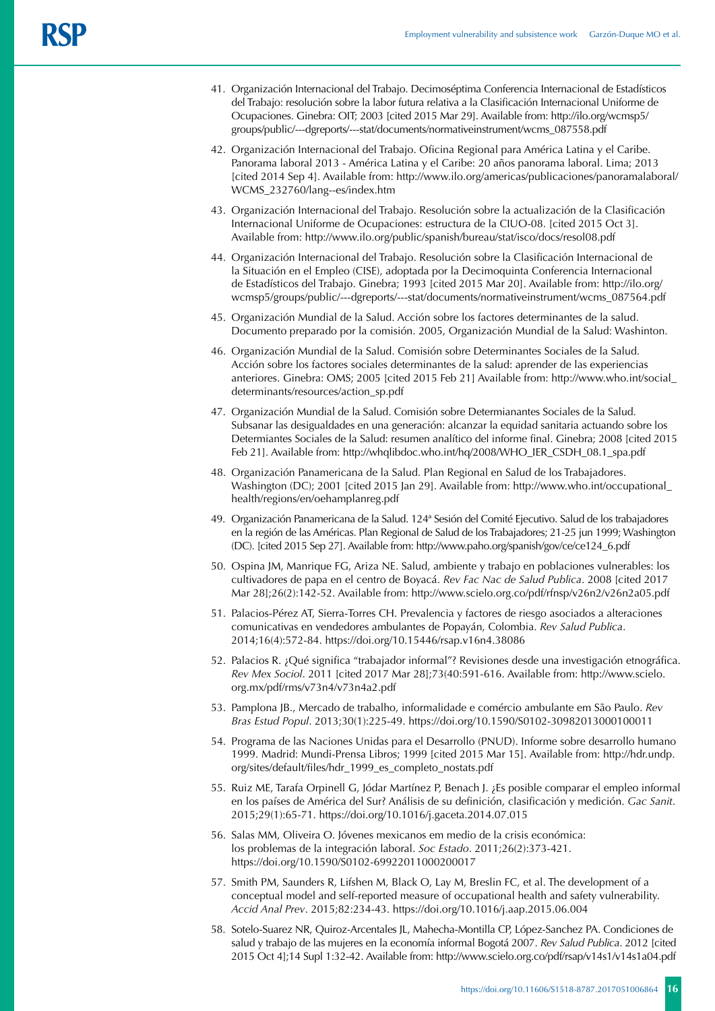- 41. Organización Internacional del Trabajo. Decimoséptima Conferencia Internacional de Estadísticos del Trabajo: resolución sobre la labor futura relativa a la Clasificación Internacional Uniforme de Ocupaciones. Ginebra: OIT; 2003 [cited 2015 Mar 29]. Available from: http://ilo.org/wcmsp5/ groups/public/---dgreports/---stat/documents/normativeinstrument/wcms\_087558.pdf
- 42. Organización Internacional del Trabajo. Oficina Regional para América Latina y el Caribe. Panorama laboral 2013 - América Latina y el Caribe: 20 años panorama laboral. Lima; 2013 [cited 2014 Sep 4]. Available from: http://www.ilo.org/americas/publicaciones/panoramalaboral/ WCMS\_232760/lang--es/index.htm
- 43. Organización Internacional del Trabajo. Resolución sobre la actualización de la Clasificación Internacional Uniforme de Ocupaciones: estructura de la CIUO-08. [cited 2015 Oct 3]. Available from: http://www.ilo.org/public/spanish/bureau/stat/isco/docs/resol08.pdf
- 44. Organización Internacional del Trabajo. Resolución sobre la Clasificación Internacional de la Situación en el Empleo (CISE), adoptada por la Decimoquinta Conferencia Internacional de Estadísticos del Trabajo. Ginebra; 1993 [cited 2015 Mar 20]. Available from: http://ilo.org/ wcmsp5/groups/public/---dgreports/---stat/documents/normativeinstrument/wcms\_087564.pdf
- 45. Organización Mundial de la Salud. Acción sobre los factores determinantes de la salud. Documento preparado por la comisión. 2005, Organización Mundial de la Salud: Washinton.
- 46. Organización Mundial de la Salud. Comisión sobre Determinantes Sociales de la Salud. Acción sobre los factores sociales determinantes de la salud: aprender de las experiencias anteriores. Ginebra: OMS; 2005 [cited 2015 Feb 21] Available from: http://www.who.int/social\_ determinants/resources/action\_sp.pdf
- 47. Organización Mundial de la Salud. Comisión sobre Determianantes Sociales de la Salud. Subsanar las desigualdades en una generación: alcanzar la equidad sanitaria actuando sobre los Determiantes Sociales de la Salud: resumen analítico del informe final. Ginebra; 2008 [cited 2015 Feb 21]. Available from: http://whqlibdoc.who.int/hq/2008/WHO\_IER\_CSDH\_08.1\_spa.pdf
- 48. Organización Panamericana de la Salud. Plan Regional en Salud de los Trabajadores. Washington (DC); 2001 [cited 2015 Jan 29]. Available from: http://www.who.int/occupational\_ health/regions/en/oehamplanreg.pdf
- 49. Organización Panamericana de la Salud. 124ª Sesión del Comité Ejecutivo. Salud de los trabajadores en la región de las Américas. Plan Regional de Salud de los Trabajadores; 21-25 jun 1999; Washington (DC). [cited 2015 Sep 27]. Available from: http://www.paho.org/spanish/gov/ce/ce124\_6.pdf
- 50. Ospina JM, Manrique FG, Ariza NE. Salud, ambiente y trabajo en poblaciones vulnerables: los cultivadores de papa en el centro de Boyacá. *Rev Fac Nac de Salud Publica*. 2008 [cited 2017 Mar 28];26(2):142-52. Available from: http://www.scielo.org.co/pdf/rfnsp/v26n2/v26n2a05.pdf
- 51. Palacios-Pérez AT, Sierra-Torres CH. Prevalencia y factores de riesgo asociados a alteraciones comunicativas en vendedores ambulantes de Popayán, Colombia. *Rev Salud Publica*. 2014;16(4):572-84. https://doi.org/10.15446/rsap.v16n4.38086
- 52. Palacios R. ¿Qué significa "trabajador informal"? Revisiones desde una investigación etnográfica. *Rev Mex Sociol*. 2011 [cited 2017 Mar 28];73(40:591-616. Available from: http://www.scielo. org.mx/pdf/rms/v73n4/v73n4a2.pdf
- 53. Pamplona JB., Mercado de trabalho, informalidade e comércio ambulante em São Paulo. *Rev Bras Estud Popul*. 2013;30(1):225-49. https://doi.org/10.1590/S0102-30982013000100011
- 54. Programa de las Naciones Unidas para el Desarrollo (PNUD). Informe sobre desarrollo humano 1999. Madrid: Mundi-Prensa Libros; 1999 [cited 2015 Mar 15]. Available from: http://hdr.undp. org/sites/default/files/hdr\_1999\_es\_completo\_nostats.pdf
- 55. Ruiz ME, Tarafa Orpinell G, Jódar Martínez P, Benach J. ¿Es posible comparar el empleo informal en los países de América del Sur? Análisis de su definición, clasificación y medición. *Gac Sanit*. 2015;29(1):65-71. https://doi.org/10.1016/j.gaceta.2014.07.015
- 56. Salas MM, Oliveira O. Jóvenes mexicanos em medio de la crisis económica: los problemas de la integración laboral. *Soc Estado*. 2011;26(2):373-421. https://doi.org/10.1590/S0102-69922011000200017
- 57. Smith PM, Saunders R, Lifshen M, Black O, Lay M, Breslin FC, et al. The development of a conceptual model and self-reported measure of occupational health and safety vulnerability. *Accid Anal Prev*. 2015;82:234-43. https://doi.org/10.1016/j.aap.2015.06.004
- 58. Sotelo-Suarez NR, Quiroz-Arcentales JL, Mahecha-Montilla CP, López-Sanchez PA. Condiciones de salud y trabajo de las mujeres en la economía informal Bogotá 2007. *Rev Salud Publica*. 2012 [cited 2015 Oct 4];14 Supl 1:32-42. Available from: http://www.scielo.org.co/pdf/rsap/v14s1/v14s1a04.pdf